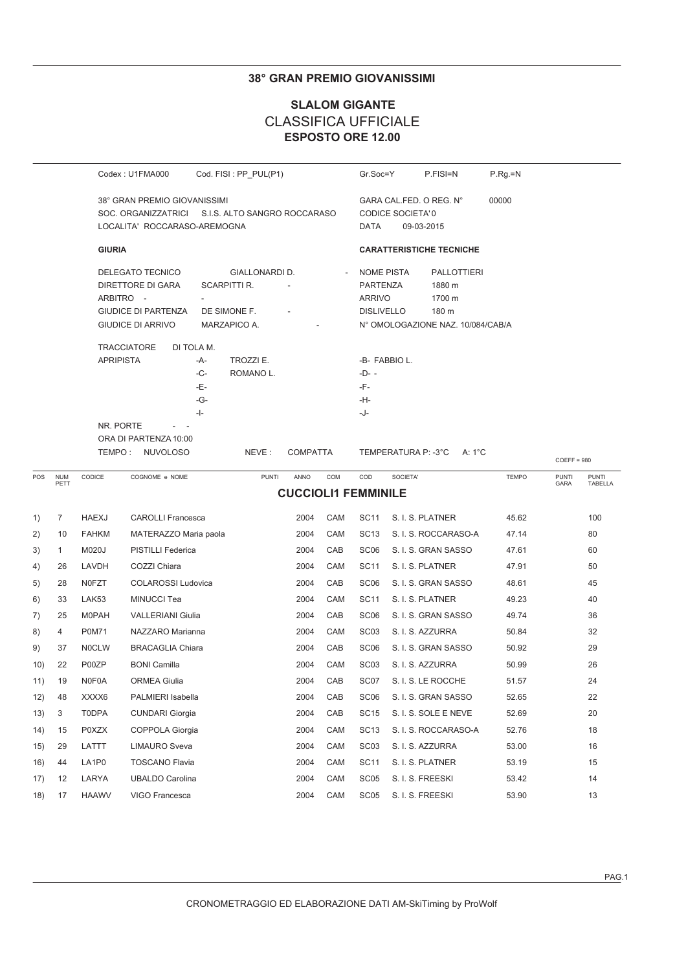### **38° GRAN PREMIO GIOVANISSIMI**

## **SLALOM GIGANTE CLASSIFICA UFFICIALE** ESPOSTO ORE 12.00

|     |                    |                               | Codex: U1FMA000                                                                                                     |                                                 | Cod. FISI: PP_PUL(P1)                                          |                            |     | Gr.Soc=Y                                                                   |                         | P.FISI=N                                                                             | $P.Rg=N$     |                      |                         |
|-----|--------------------|-------------------------------|---------------------------------------------------------------------------------------------------------------------|-------------------------------------------------|----------------------------------------------------------------|----------------------------|-----|----------------------------------------------------------------------------|-------------------------|--------------------------------------------------------------------------------------|--------------|----------------------|-------------------------|
|     |                    |                               | 38° GRAN PREMIO GIOVANISSIMI<br>SOC. ORGANIZZATRICI S.I.S. ALTO SANGRO ROCCARASO<br>LOCALITA' ROCCARASO-AREMOGNA    |                                                 |                                                                |                            |     | DATA                                                                       | <b>CODICE SOCIETA'0</b> | GARA CAL.FED. O REG. N°<br>09-03-2015                                                | 00000        |                      |                         |
|     |                    | <b>GIURIA</b>                 |                                                                                                                     |                                                 |                                                                |                            |     |                                                                            |                         | <b>CARATTERISTICHE TECNICHE</b>                                                      |              |                      |                         |
|     |                    |                               | DELEGATO TECNICO<br><b>DIRETTORE DI GARA</b><br>ARBITRO -<br><b>GIUDICE DI PARTENZA</b><br><b>GIUDICE DI ARRIVO</b> |                                                 | GIALLONARDI D.<br>SCARPITTI R.<br>DE SIMONE F.<br>MARZAPICO A. |                            |     | <b>NOME PISTA</b><br><b>PARTENZA</b><br><b>ARRIVO</b><br><b>DISLIVELLO</b> |                         | <b>PALLOTTIERI</b><br>1880 m<br>1700 m<br>180 m<br>N° OMOLOGAZIONE NAZ. 10/084/CAB/A |              |                      |                         |
|     |                    | <b>APRIPISTA</b><br>NR. PORTE | <b>TRACCIATORE</b><br>ORA DI PARTENZA 10:00                                                                         | DI TOLA M.<br>-A-<br>-C-<br>-E-<br>-G-<br>$-1-$ | TROZZI E.<br>ROMANO L.                                         |                            |     | $-D- -$<br>-F-<br>-H-<br>-J-                                               | -B- FABBIO L.           |                                                                                      |              |                      |                         |
|     |                    |                               | TEMPO: NUVOLOSO                                                                                                     |                                                 | NEVE:                                                          | <b>COMPATTA</b>            |     |                                                                            | TEMPERATURA P: -3°C     | A: 1°C                                                                               |              | $COEFF = 980$        |                         |
| POS | <b>NUM</b><br>PETT | CODICE                        | COGNOME e NOME                                                                                                      |                                                 | <b>PUNTI</b>                                                   | ANNO                       | COM | COD                                                                        | SOCIETA'                |                                                                                      | <b>TEMPO</b> | <b>PUNTI</b><br>GARA | <b>PUNTI</b><br>TABELLA |
|     |                    |                               |                                                                                                                     |                                                 |                                                                | <b>CUCCIOLI1 FEMMINILE</b> |     |                                                                            |                         |                                                                                      |              |                      |                         |
| 1)  | $\overline{7}$     | <b>HAEXJ</b>                  | <b>CAROLLI Francesca</b>                                                                                            |                                                 |                                                                | 2004                       | CAM | SC11                                                                       |                         | S. I. S. PLATNER                                                                     | 45.62        |                      | 100                     |
| 2)  | 10                 | <b>FAHKM</b>                  | MATERAZZO Maria paola                                                                                               |                                                 |                                                                | 2004                       | CAM | <b>SC13</b>                                                                |                         | S. I. S. ROCCARASO-A                                                                 | 47.14        |                      | 80                      |
| 3)  | 1                  | M020J                         | PISTILLI Federica                                                                                                   |                                                 |                                                                | 2004                       | CAB | SC <sub>06</sub>                                                           |                         | S. I. S. GRAN SASSO                                                                  | 47.61        |                      | 60                      |
| 4)  | 26                 | LAVDH                         | COZZI Chiara                                                                                                        |                                                 |                                                                | 2004                       | CAM | SC11                                                                       |                         | S. I. S. PLATNER                                                                     | 47.91        |                      | 50                      |
| 5)  | 28                 | <b>NOFZT</b>                  | <b>COLAROSSI Ludovica</b>                                                                                           |                                                 |                                                                | 2004                       | CAB | SC <sub>06</sub>                                                           |                         | S. I. S. GRAN SASSO                                                                  | 48.61        |                      | 45                      |
| 6)  | 33                 | LAK53                         | MINUCCI Tea                                                                                                         |                                                 |                                                                | 2004                       | CAM | <b>SC11</b>                                                                |                         | S. I. S. PLATNER                                                                     | 49.23        |                      | 40                      |
| 7)  | 25                 | <b>M0PAH</b>                  | <b>VALLERIANI Giulia</b>                                                                                            |                                                 |                                                                | 2004                       | CAB | SC <sub>06</sub>                                                           |                         | S. I. S. GRAN SASSO                                                                  | 49.74        |                      | 36                      |
| 8)  | $\overline{4}$     | P0M71                         | NAZZARO Marianna                                                                                                    |                                                 |                                                                | 2004                       | CAM | SC <sub>03</sub>                                                           |                         | S. I. S. AZZURRA                                                                     | 50.84        |                      | 32                      |
| 9)  | 37                 | <b>NOCLW</b>                  | <b>BRACAGLIA Chiara</b>                                                                                             |                                                 |                                                                | 2004                       | CAB | SC <sub>06</sub>                                                           |                         | S. I. S. GRAN SASSO                                                                  | 50.92        |                      | 29                      |
| 10) | 22                 | P00ZP                         | <b>BONI</b> Camilla                                                                                                 |                                                 |                                                                | 2004                       | CAM | SC <sub>03</sub>                                                           |                         | S. I. S. AZZURRA                                                                     | 50.99        |                      | 26                      |
| 11) | 19                 | N0F0A                         | ORMEA Giulia                                                                                                        |                                                 |                                                                | 2004                       | CAB | SC07                                                                       |                         | S. I. S. LE ROCCHE                                                                   | 51.57        |                      | 24                      |
| 12) | 48                 | XXXX6                         | PALMIERI Isabella                                                                                                   |                                                 |                                                                | 2004                       | CAB | SC <sub>06</sub>                                                           |                         | S. I. S. GRAN SASSO                                                                  | 52.65        |                      | 22                      |
| 13) | 3                  | T0DPA                         | <b>CUNDARI Giorgia</b>                                                                                              |                                                 |                                                                | 2004                       | CAB | SC <sub>15</sub>                                                           |                         | S. I. S. SOLE E NEVE                                                                 | 52.69        |                      | 20                      |
| 14) | 15                 | P0XZX                         | COPPOLA Giorgia                                                                                                     |                                                 |                                                                | 2004                       | CAM | SC <sub>13</sub>                                                           |                         | S. I. S. ROCCARASO-A                                                                 | 52.76        |                      | 18                      |
| 15) | 29                 | LATTT                         | <b>LIMAURO Sveva</b>                                                                                                |                                                 |                                                                | 2004                       | CAM | SC <sub>03</sub>                                                           |                         | S. I. S. AZZURRA                                                                     | 53.00        |                      | 16                      |
| 16) | 44                 | LA1P0                         | <b>TOSCANO Flavia</b>                                                                                               |                                                 |                                                                | 2004                       | CAM | <b>SC11</b>                                                                |                         | S. I. S. PLATNER                                                                     | 53.19        |                      | 15                      |
| 17) | 12                 | LARYA                         | <b>UBALDO Carolina</b>                                                                                              |                                                 |                                                                | 2004                       | CAM | SC <sub>05</sub>                                                           | S. I. S. FREESKI        |                                                                                      | 53.42        |                      | 14                      |
| 18) | 17                 | <b>HAAWV</b>                  | VIGO Francesca                                                                                                      |                                                 |                                                                | 2004                       | CAM | SC <sub>05</sub>                                                           | S. I. S. FREESKI        |                                                                                      | 53.90        |                      | 13                      |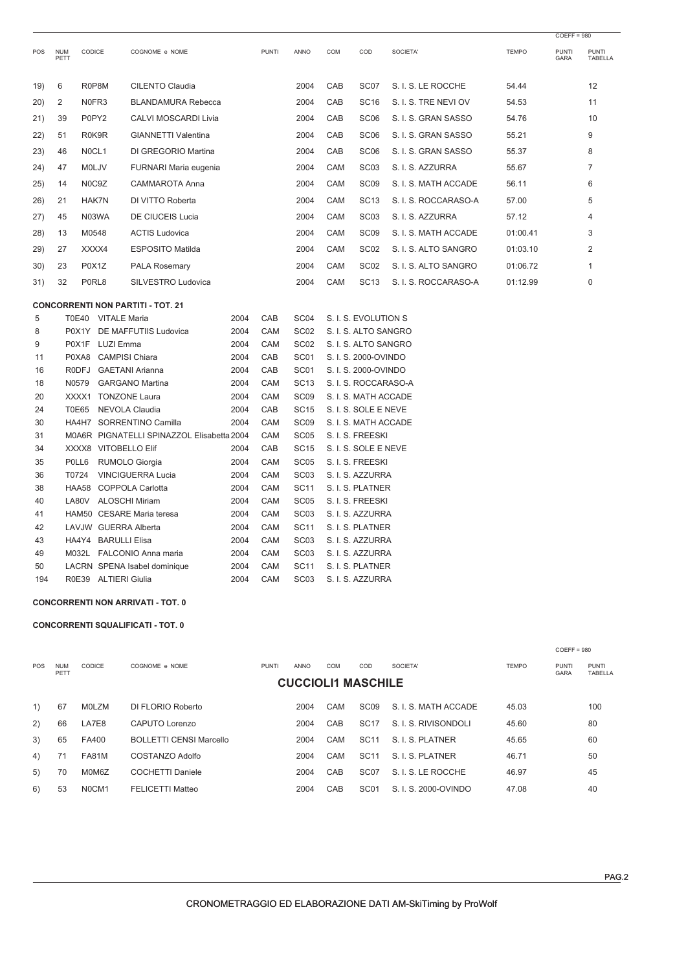|     |                    |              |                      |                                            |      |              |                  |     |                      |                      |              | $COEFF = 980$        |                         |
|-----|--------------------|--------------|----------------------|--------------------------------------------|------|--------------|------------------|-----|----------------------|----------------------|--------------|----------------------|-------------------------|
| POS | <b>NUM</b><br>PETT | CODICE       |                      | COGNOME e NOME                             |      | <b>PUNTI</b> | ANNO             | COM | COD                  | SOCIETA'             | <b>TEMPO</b> | <b>PUNTI</b><br>GARA | <b>PUNTI</b><br>TABELLA |
| 19) | 6                  | R0P8M        |                      | <b>CILENTO Claudia</b>                     |      |              | 2004             | CAB | SC07                 | S. I. S. LE ROCCHE   | 54.44        |                      | 12                      |
| 20) | 2                  | N0FR3        |                      | <b>BLANDAMURA Rebecca</b>                  |      |              | 2004             | CAB | <b>SC16</b>          | S. I. S. TRE NEVI OV | 54.53        |                      | 11                      |
| 21) | 39                 | P0PY2        |                      | <b>CALVI MOSCARDI Livia</b>                |      |              | 2004             | CAB | SC <sub>06</sub>     | S. I. S. GRAN SASSO  | 54.76        |                      | 10                      |
| 22) | 51                 | R0K9R        |                      | <b>GIANNETTI Valentina</b>                 |      |              | 2004             | CAB | SC <sub>06</sub>     | S. I. S. GRAN SASSO  | 55.21        |                      | 9                       |
| 23) | 46                 | NOCL1        |                      | DI GREGORIO Martina                        |      |              | 2004             | CAB | SC <sub>06</sub>     | S. I. S. GRAN SASSO  | 55.37        |                      | 8                       |
| 24) | 47                 | <b>MOLJV</b> |                      | FURNARI Maria eugenia                      |      |              | 2004             | CAM | SC <sub>03</sub>     | S. I. S. AZZURRA     | 55.67        |                      | $\overline{7}$          |
| 25) | 14                 | N0C9Z        |                      | CAMMAROTA Anna                             |      |              | 2004             | CAM | SC <sub>09</sub>     | S. I. S. MATH ACCADE | 56.11        |                      | 6                       |
|     | 21                 | <b>HAK7N</b> |                      | DI VITTO Roberta                           |      |              | 2004             | CAM | <b>SC13</b>          | S. I. S. ROCCARASO-A | 57.00        |                      | 5                       |
| 26) |                    |              |                      |                                            |      |              |                  |     |                      |                      |              |                      |                         |
| 27) | 45                 | N03WA        |                      | DE CIUCEIS Lucia                           |      |              | 2004             | CAM | SC <sub>03</sub>     | S. I. S. AZZURRA     | 57.12        |                      | $\overline{4}$          |
| 28) | 13                 | M0548        |                      | <b>ACTIS Ludovica</b>                      |      |              | 2004             | CAM | SC <sub>09</sub>     | S. I. S. MATH ACCADE | 01:00.41     |                      | 3                       |
| 29) | 27                 | XXXX4        |                      | <b>ESPOSITO Matilda</b>                    |      |              | 2004             | CAM | SC <sub>02</sub>     | S. I. S. ALTO SANGRO | 01:03.10     |                      | $\overline{2}$          |
| 30) | 23                 | P0X1Z        |                      | <b>PALA Rosemary</b>                       |      |              | 2004             | CAM | SC <sub>02</sub>     | S. I. S. ALTO SANGRO | 01:06.72     |                      | $\mathbf{1}$            |
| 31) | 32                 | P0RL8        |                      | SILVESTRO Ludovica                         |      |              | 2004             | CAM | <b>SC13</b>          | S. I. S. ROCCARASO-A | 01:12.99     |                      | $\mathbf 0$             |
|     |                    |              |                      | <b>CONCORRENTI NON PARTITI - TOT. 21</b>   |      |              |                  |     |                      |                      |              |                      |                         |
| 5   |                    |              | T0E40 VITALE Maria   |                                            | 2004 | CAB          | SC <sub>04</sub> |     | S. I. S. EVOLUTION S |                      |              |                      |                         |
| 8   |                    |              |                      | P0X1Y DE MAFFUTIIS Ludovica                | 2004 | CAM          | SC <sub>02</sub> |     | S. I. S. ALTO SANGRO |                      |              |                      |                         |
| 9   |                    |              | P0X1F LUZI Emma      |                                            | 2004 | CAM          | SC <sub>02</sub> |     | S. I. S. ALTO SANGRO |                      |              |                      |                         |
| 11  |                    |              |                      | P0XA8 CAMPISI Chiara                       | 2004 | CAB          | SC01             |     | S. I. S. 2000-OVINDO |                      |              |                      |                         |
| 16  |                    |              |                      | R0DFJ GAETANI Arianna                      | 2004 | CAB          | SC <sub>01</sub> |     | S. I. S. 2000-OVINDO |                      |              |                      |                         |
| 18  |                    | N0579        |                      | <b>GARGANO Martina</b>                     | 2004 | CAM          | <b>SC13</b>      |     | S. I. S. ROCCARASO-A |                      |              |                      |                         |
| 20  |                    |              |                      | XXXX1 TONZONE Laura                        | 2004 | CAM          | SC <sub>09</sub> |     | S. I. S. MATH ACCADE |                      |              |                      |                         |
| 24  |                    | <b>T0E65</b> |                      | NEVOLA Claudia                             | 2004 | CAB          | <b>SC15</b>      |     | S. I. S. SOLE E NEVE |                      |              |                      |                         |
| 30  |                    |              |                      | HA4H7 SORRENTINO Camilla                   | 2004 | CAM          | SC <sub>09</sub> |     | S. I. S. MATH ACCADE |                      |              |                      |                         |
| 31  |                    |              |                      | M0A6R PIGNATELLI SPINAZZOL Elisabetta 2004 |      | CAM          | <b>SC05</b>      |     | S. I. S. FREESKI     |                      |              |                      |                         |
| 34  |                    |              |                      | XXXX8 VITOBELLO Elif                       | 2004 | CAB          | <b>SC15</b>      |     | S. I. S. SOLE E NEVE |                      |              |                      |                         |
| 35  |                    | POLL6        |                      | RUMOLO Giorgia                             | 2004 | CAM          | <b>SC05</b>      |     | S. I. S. FREESKI     |                      |              |                      |                         |
| 36  |                    | T0724        |                      | <b>VINCIGUERRA Lucia</b>                   | 2004 | CAM          | SC <sub>03</sub> |     | S. I. S. AZZURRA     |                      |              |                      |                         |
| 38  |                    |              |                      | HAA58 COPPOLA Carlotta                     | 2004 | CAM          | <b>SC11</b>      |     | S. I. S. PLATNER     |                      |              |                      |                         |
| 40  |                    | LA80V        |                      | <b>ALOSCHI Miriam</b>                      | 2004 | CAM          | SC <sub>05</sub> |     | S. I. S. FREESKI     |                      |              |                      |                         |
| 41  |                    |              |                      | HAM50 CESARE Maria teresa                  | 2004 | CAM          | SC <sub>03</sub> |     | S. I. S. AZZURRA     |                      |              |                      |                         |
| 42  |                    |              |                      | LAVJW GUERRA Alberta                       | 2004 | CAM          | <b>SC11</b>      |     | S. I. S. PLATNER     |                      |              |                      |                         |
| 43  |                    |              | HA4Y4 BARULLI Elisa  |                                            | 2004 | CAM          | SC <sub>03</sub> |     | S. I. S. AZZURRA     |                      |              |                      |                         |
| 49  |                    |              |                      | M032L FALCONIO Anna maria                  | 2004 | CAM          | SC <sub>03</sub> |     | S. I. S. AZZURRA     |                      |              |                      |                         |
| 50  |                    |              |                      | LACRN SPENA Isabel dominique               | 2004 | CAM          | <b>SC11</b>      |     | S. I. S. PLATNER     |                      |              |                      |                         |
| 194 |                    |              | R0E39 ALTIERI Giulia |                                            | 2004 | CAM          | SC <sub>03</sub> |     | S. I. S. AZZURRA     |                      |              |                      |                         |

#### **CONCORRENTI NON ARRIVATI - TOT. 0**

#### **CONCORRENTI SQUALIFICATI - TOT. 0**

|            |                    |               |                                |              |             |                           |                  |                      |              | $COEFF = 980$               |                         |
|------------|--------------------|---------------|--------------------------------|--------------|-------------|---------------------------|------------------|----------------------|--------------|-----------------------------|-------------------------|
| <b>POS</b> | <b>NUM</b><br>PETT | <b>CODICE</b> | COGNOME e NOME                 | <b>PUNTI</b> | <b>ANNO</b> | <b>COM</b>                | COD              | SOCIETA'             | <b>TEMPO</b> | <b>PUNTI</b><br><b>GARA</b> | <b>PUNTI</b><br>TABELLA |
|            |                    |               |                                |              |             | <b>CUCCIOLI1 MASCHILE</b> |                  |                      |              |                             |                         |
| 1)         | 67                 | <b>MOLZM</b>  | DI FLORIO Roberto              |              | 2004        | <b>CAM</b>                | SC <sub>09</sub> | S. I. S. MATH ACCADE | 45.03        |                             | 100                     |
| 2)         | 66                 | LA7E8         | CAPUTO Lorenzo                 |              | 2004        | CAB                       | SC <sub>17</sub> | S. I. S. RIVISONDOLI | 45.60        |                             | 80                      |
| 3)         | 65                 | FA400         | <b>BOLLETTI CENSI Marcello</b> |              | 2004        | CAM                       | <b>SC11</b>      | S. I. S. PLATNER     | 45.65        |                             | 60                      |
| 4)         | 71                 | FA81M         | COSTANZO Adolfo                |              | 2004        | <b>CAM</b>                | <b>SC11</b>      | S. I. S. PLATNER     | 46.71        |                             | 50                      |
| 5)         | 70                 | M0M6Z         | <b>COCHETTI Daniele</b>        |              | 2004        | CAB                       | SC <sub>07</sub> | S. I. S. LE ROCCHE   | 46.97        |                             | 45                      |
| 6)         | 53                 | N0CM1         | <b>FELICETTI Matteo</b>        |              | 2004        | CAB                       | SC <sub>01</sub> | S. I. S. 2000-OVINDO | 47.08        |                             | 40                      |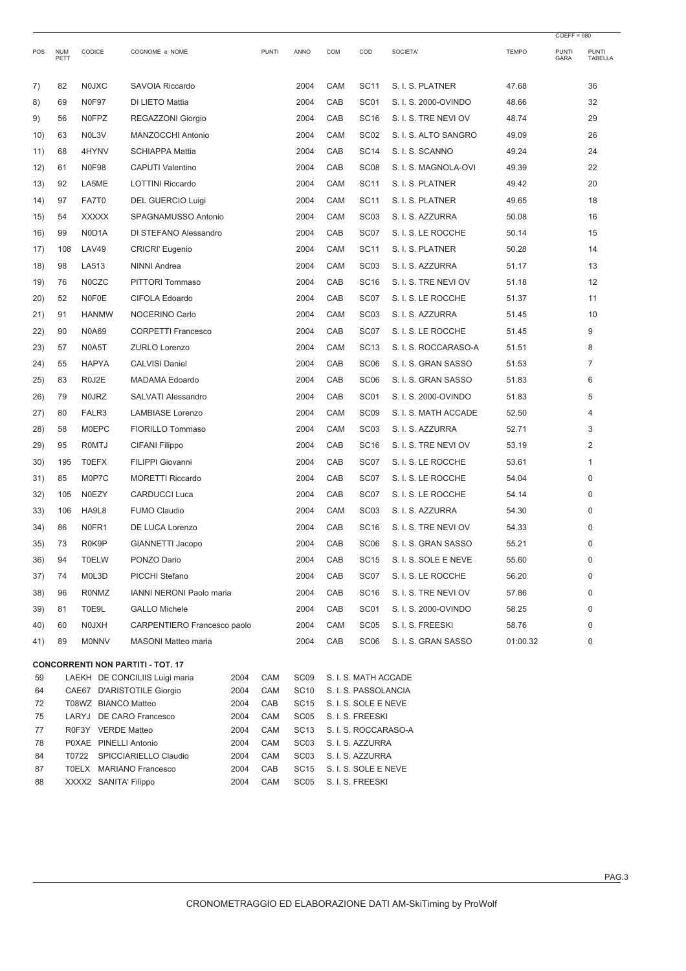| POS      | <b>NUM</b><br>PETT | CODICE                | COGNOME e NOME                           |              | <b>PUNTI</b> | ANNO                     | COM | COD                                      | SOCIETA'             | <b>TEMPO</b> | <b>PUNTI</b><br>GARA | PUNTI<br><b>TABELLA</b> |
|----------|--------------------|-----------------------|------------------------------------------|--------------|--------------|--------------------------|-----|------------------------------------------|----------------------|--------------|----------------------|-------------------------|
| 7)       | 82                 | <b>NOJXC</b>          | SAVOIA Riccardo                          |              |              | 2004                     | CAM | <b>SC11</b>                              | S. I. S. PLATNER     | 47.68        |                      | 36                      |
| 8)       | 69                 | <b>N0F97</b>          | DI LIETO Mattia                          |              |              | 2004                     | CAB | SC <sub>01</sub>                         | S. I. S. 2000-OVINDO | 48.66        |                      | 32                      |
| 9)       | 56                 | <b>NOFPZ</b>          | REGAZZONI Giorgio                        |              |              | 2004                     | CAB | <b>SC16</b>                              | S. I. S. TRE NEVI OV | 48.74        |                      | 29                      |
| 10)      | 63                 | NOL3V                 | MANZOCCHI Antonio                        |              |              | 2004                     | CAM | SC <sub>02</sub>                         | S. I. S. ALTO SANGRO | 49.09        |                      | 26                      |
| 11)      | 68                 | 4HYNV                 | <b>SCHIAPPA Mattia</b>                   |              |              | 2004                     | CAB | <b>SC14</b>                              | S. I. S. SCANNO      | 49.24        |                      | 24                      |
| 12)      | 61                 | <b>N0F98</b>          | <b>CAPUTI Valentino</b>                  |              |              | 2004                     | CAB | SC <sub>08</sub>                         | S. I. S. MAGNOLA-OVI | 49.39        |                      | 22                      |
| 13)      | 92                 | LA5ME                 | <b>LOTTINI Riccardo</b>                  |              |              | 2004                     | CAM | <b>SC11</b>                              | S. I. S. PLATNER     | 49.42        |                      | 20                      |
| 14)      | 97                 | FA7T0                 | <b>DEL GUERCIO Luigi</b>                 |              |              | 2004                     | CAM | <b>SC11</b>                              | S. I. S. PLATNER     | 49.65        |                      | 18                      |
| 15)      | 54                 | <b>XXXXX</b>          | SPAGNAMUSSO Antonio                      |              |              | 2004                     | CAM | SC <sub>03</sub>                         | S. I. S. AZZURRA     | 50.08        |                      | 16                      |
| 16)      | 99                 | N0D1A                 | DI STEFANO Alessandro                    |              |              | 2004                     | CAB | SC07                                     | S. I. S. LE ROCCHE   | 50.14        |                      | 15                      |
| 17)      | 108                | <b>LAV49</b>          | <b>CRICRI' Eugenio</b>                   |              |              | 2004                     | CAM | <b>SC11</b>                              | S. I. S. PLATNER     | 50.28        |                      | 14                      |
| 18)      | 98                 | LA513                 | <b>NINNI Andrea</b>                      |              |              | 2004                     | CAM | SC <sub>03</sub>                         | S. I. S. AZZURRA     | 51.17        |                      | 13                      |
| 19)      | 76                 | <b>NOCZC</b>          | PITTORI Tommaso                          |              |              | 2004                     | CAB | <b>SC16</b>                              | S. I. S. TRE NEVI OV | 51.18        |                      | 12                      |
| 20)      | 52                 | N0F0E                 | CIFOLA Edoardo                           |              |              | 2004                     | CAB | SC07                                     | S. I. S. LE ROCCHE   | 51.37        |                      | 11                      |
| 21)      | 91                 | <b>HANMW</b>          | NOCERINO Carlo                           |              |              | 2004                     | CAM | SC <sub>03</sub>                         | S. I. S. AZZURRA     | 51.45        |                      | 10                      |
| (22)     | 90                 | <b>N0A69</b>          | <b>CORPETTI Francesco</b>                |              |              | 2004                     | CAB | SC07                                     | S. I. S. LE ROCCHE   | 51.45        |                      | 9                       |
| 23)      | 57                 | N0A5T                 | <b>ZURLO Lorenzo</b>                     |              |              | 2004                     | CAM | <b>SC13</b>                              | S. I. S. ROCCARASO-A | 51.51        |                      | 8                       |
| 24)      | 55                 | <b>HAPYA</b>          | <b>CALVISI Daniel</b>                    |              |              | 2004                     | CAB | SC <sub>06</sub>                         | S. I. S. GRAN SASSO  | 51.53        |                      | 7                       |
| 25)      | 83                 | R0J2E                 | <b>MADAMA Edoardo</b>                    |              |              | 2004                     | CAB | SC <sub>06</sub>                         | S. I. S. GRAN SASSO  | 51.83        |                      | 6                       |
| 26)      | 79                 | <b>NOJRZ</b>          | SALVATI Alessandro                       |              |              | 2004                     | CAB | SC01                                     | S. I. S. 2000-OVINDO | 51.83        |                      | 5                       |
| 27)      | 80                 | FALR3                 | <b>LAMBIASE Lorenzo</b>                  |              |              | 2004                     | CAM | SC <sub>09</sub>                         | S. I. S. MATH ACCADE | 52.50        |                      | 4                       |
| 28)      | 58                 | <b>MOEPC</b>          | FIORILLO Tommaso                         |              |              | 2004                     | CAM | SC <sub>03</sub>                         | S. I. S. AZZURRA     | 52.71        |                      | 3                       |
| 29)      | 95                 | <b>ROMTJ</b>          | CIFANI Filippo                           |              |              | 2004                     | CAB | <b>SC16</b>                              | S. I. S. TRE NEVI OV | 53.19        |                      | 2                       |
| 30)      | 195                | <b>TOEFX</b>          | FILIPPI Giovanni                         |              |              | 2004                     | CAB | SC07                                     | S. I. S. LE ROCCHE   | 53.61        |                      | 1                       |
| 31)      | 85                 | M0P7C                 | <b>MORETTI Riccardo</b>                  |              |              | 2004                     | CAB | SC07                                     | S. I. S. LE ROCCHE   | 54.04        |                      | $\Omega$                |
| 32)      | 105                | <b>N0EZY</b>          | <b>CARDUCCI Luca</b>                     |              |              | 2004                     | CAB | SC07                                     | S. I. S. LE ROCCHE   | 54.14        |                      | $\Omega$                |
| 33)      | 106                | HA9L8                 | <b>FUMO Claudio</b>                      |              |              | 2004                     | CAM | SC <sub>03</sub>                         | S. I. S. AZZURRA     | 54.30        |                      | 0                       |
| 34)      | 86                 | N0FR1                 | DE LUCA Lorenzo                          |              |              | 2004                     | CAB | <b>SC16</b>                              | S. I. S. TRE NEVI OV | 54.33        |                      | $\Omega$                |
| 35)      | 73                 | R0K9P                 | GIANNETTI Jacopo                         |              |              | 2004                     | CAB | SC <sub>06</sub>                         | S. I. S. GRAN SASSO  | 55.21        |                      | 0                       |
| 36)      | 94                 | T0ELW                 | PONZO Dario                              |              |              | 2004                     | CAB | <b>SC15</b>                              | S. I. S. SOLE E NEVE | 55.60        |                      | 0                       |
| 37)      | 74                 | M0L3D                 | PICCHI Stefano                           |              |              | 2004                     | CAB | SC07                                     | S. I. S. LE ROCCHE   | 56.20        |                      | 0                       |
| 38)      | 96                 | <b>RONMZ</b>          | <b>IANNI NERONI Paolo maria</b>          |              |              | 2004                     | CAB | <b>SC16</b>                              | S. I. S. TRE NEVI OV | 57.86        |                      | $\mathbf 0$             |
| 39)      | 81                 | T0E9L                 | <b>GALLO Michele</b>                     |              |              | 2004                     | CAB | SC <sub>01</sub>                         | S. I. S. 2000-OVINDO | 58.25        |                      | 0                       |
| 40)      | 60                 | N0JXH                 | CARPENTIERO Francesco paolo              |              |              | 2004                     | CAM | SC <sub>05</sub>                         | S. I. S. FREESKI     | 58.76        |                      | 0                       |
| 41)      | 89                 | <b>MONNV</b>          | MASONI Matteo maria                      |              |              | 2004                     | CAB | SC <sub>06</sub>                         | S. I. S. GRAN SASSO  | 01:00.32     |                      | 0                       |
|          |                    |                       | <b>CONCORRENTI NON PARTITI - TOT. 17</b> |              |              |                          |     |                                          |                      |              |                      |                         |
| 59       |                    |                       | LAEKH DE CONCILIIS Luigi maria           | 2004         | CAM          | SC <sub>09</sub>         |     | S. I. S. MATH ACCADE                     |                      |              |                      |                         |
| 64       |                    |                       | CAE67 D'ARISTOTILE Giorgio               | 2004         | CAM          | <b>SC10</b>              |     | S. I. S. PASSOLANCIA                     |                      |              |                      |                         |
| 72<br>75 |                    | T08WZ BIANCO Matteo   | LARYJ DE CARO Francesco                  | 2004<br>2004 | CAB<br>CAM   | SC15<br>SC <sub>05</sub> |     | S. I. S. SOLE E NEVE<br>S. I. S. FREESKI |                      |              |                      |                         |
| 77       |                    | R0F3Y VERDE Matteo    |                                          | 2004         | CAM          | SC13                     |     | S. I. S. ROCCARASO-A                     |                      |              |                      |                         |
| 78       |                    | P0XAE PINELLI Antonio |                                          | 2004         | CAM          | SC <sub>03</sub>         |     | S. I. S. AZZURRA                         |                      |              |                      |                         |
| 84       |                    |                       | T0722 SPICCIARIELLO Claudio              | 2004         | CAM          | SC <sub>03</sub>         |     | S. I. S. AZZURRA                         |                      |              |                      |                         |

87 TOELX MARIANO Francesco 2004 CAB SC15 S.I.S. SOLE E NEVE 88 XXXX2 SANITA' Filippo 2004 CAM SC05 S. I. S. FREESKI

COEFF = 980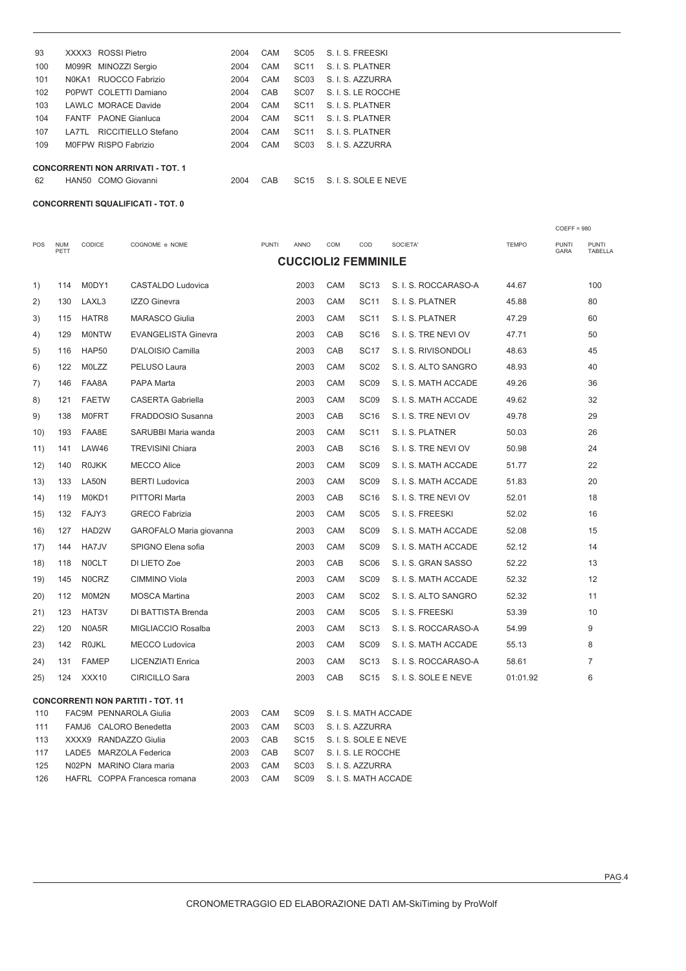| 93  |        | XXXX3 ROSSI Pietro                       | 2004 | CAM | SC <sub>05</sub> | S. I. S. FREESKI     |
|-----|--------|------------------------------------------|------|-----|------------------|----------------------|
| 100 |        | M099R MINOZZI Sergio                     | 2004 | CAM | <b>SC11</b>      | S. I. S. PLATNER     |
| 101 | NOKA1  | RUOCCO Fabrizio                          | 2004 | CAM | SC <sub>03</sub> | S. I. S. AZZURRA     |
| 102 |        | P0PWT COLETTI Damiano                    | 2004 | CAB | SC <sub>07</sub> | S. I. S. LE ROCCHE   |
| 103 |        | LAWLC, MORACE Davide                     | 2004 | CAM | <b>SC11</b>      | S. I. S. PLATNER     |
| 104 |        | <b>FANTE</b> PAONE Gianluca              | 2004 | CAM | <b>SC11</b>      | S. I. S. PLATNER     |
| 107 | I A7TI | RICCITIELLO Stefano                      | 2004 | CAM | <b>SC11</b>      | S I S PIATNER        |
| 109 |        | M0FPW RISPO Fabrizio                     | 2004 | CAM | SC <sub>03</sub> | S. I. S. AZZURRA     |
|     |        | <b>CONCORRENTI NON ARRIVATI - TOT. 1</b> |      |     |                  |                      |
| 62  |        | HAN50 COMO Giovanni                      | 2004 | CAB | <b>SC15</b>      | S. I. S. SOLE E NEVE |

**CONCORRENTI SQUALIFICATI - TOT. 0**

|            |                    |                               |                                                          |              |              |                          |     |                                          |                      |              | $COEFF = 980$               |                         |
|------------|--------------------|-------------------------------|----------------------------------------------------------|--------------|--------------|--------------------------|-----|------------------------------------------|----------------------|--------------|-----------------------------|-------------------------|
| POS        | <b>NUM</b><br>PETT | CODICE                        | COGNOME e NOME                                           |              | <b>PUNTI</b> | ANNO                     | COM | COD                                      | SOCIETA'             | <b>TEMPO</b> | <b>PUNTI</b><br><b>GARA</b> | <b>PUNTI</b><br>TABELLA |
|            |                    |                               |                                                          |              |              |                          |     | <b>CUCCIOLI2 FEMMINILE</b>               |                      |              |                             |                         |
| 1)         | 114                | M0DY1                         | CASTALDO Ludovica                                        |              |              | 2003                     | CAM | <b>SC13</b>                              | S. I. S. ROCCARASO-A | 44.67        |                             | 100                     |
| 2)         | 130                | LAXL3                         | <b>IZZO Ginevra</b>                                      |              |              | 2003                     | CAM | <b>SC11</b>                              | S. I. S. PLATNER     | 45.88        |                             | 80                      |
| 3)         | 115                | HATR8                         | <b>MARASCO Giulia</b>                                    |              |              | 2003                     | CAM | <b>SC11</b>                              | S. I. S. PLATNER     | 47.29        |                             | 60                      |
| 4)         | 129                | <b>MONTW</b>                  | <b>EVANGELISTA Ginevra</b>                               |              |              | 2003                     | CAB | <b>SC16</b>                              | S. I. S. TRE NEVI OV | 47.71        |                             | 50                      |
| 5)         | 116                | HAP50                         | D'ALOISIO Camilla                                        |              |              | 2003                     | CAB | <b>SC17</b>                              | S. I. S. RIVISONDOLI | 48.63        |                             | 45                      |
| 6)         | 122                | <b>MOLZZ</b>                  | PELUSO Laura                                             |              |              | 2003                     | CAM | SC <sub>02</sub>                         | S. I. S. ALTO SANGRO | 48.93        |                             | 40                      |
| 7)         | 146                | FAA8A                         | PAPA Marta                                               |              |              | 2003                     | CAM | SC <sub>09</sub>                         | S. I. S. MATH ACCADE | 49.26        |                             | 36                      |
| 8)         | 121                | <b>FAETW</b>                  | <b>CASERTA Gabriella</b>                                 |              |              | 2003                     | CAM | SC <sub>09</sub>                         | S. I. S. MATH ACCADE | 49.62        |                             | 32                      |
| 9)         | 138                | <b>MOFRT</b>                  | <b>FRADDOSIO Susanna</b>                                 |              |              | 2003                     | CAB | <b>SC16</b>                              | S. I. S. TRE NEVI OV | 49.78        |                             | 29                      |
| 10)        | 193                | FAA8E                         | SARUBBI Maria wanda                                      |              |              | 2003                     | CAM | <b>SC11</b>                              | S. I. S. PLATNER     | 50.03        |                             | 26                      |
| 11)        | 141                | LAW46                         | <b>TREVISINI Chiara</b>                                  |              |              | 2003                     | CAB | <b>SC16</b>                              | S. I. S. TRE NEVI OV | 50.98        |                             | 24                      |
| 12)        | 140                | <b>ROJKK</b>                  | MECCO Alice                                              |              |              | 2003                     | CAM | SC <sub>09</sub>                         | S. I. S. MATH ACCADE | 51.77        |                             | 22                      |
| 13)        | 133                | LA50N                         | <b>BERTI Ludovica</b>                                    |              |              | 2003                     | CAM | SC <sub>09</sub>                         | S. I. S. MATH ACCADE | 51.83        |                             | 20                      |
| 14)        | 119                | M0KD1                         | <b>PITTORI Marta</b>                                     |              |              | 2003                     | CAB | SC <sub>16</sub>                         | S. I. S. TRE NEVI OV | 52.01        |                             | 18                      |
| 15)        | 132                | FAJY3                         | <b>GRECO Fabrizia</b>                                    |              |              | 2003                     | CAM | SC <sub>05</sub>                         | S. I. S. FREESKI     | 52.02        |                             | 16                      |
| 16)        | 127                | HAD2W                         | GAROFALO Maria giovanna                                  |              |              | 2003                     | CAM | SC <sub>09</sub>                         | S. I. S. MATH ACCADE | 52.08        |                             | 15                      |
| 17)        | 144                | HA7JV                         | SPIGNO Elena sofia                                       |              |              | 2003                     | CAM | SC <sub>09</sub>                         | S. I. S. MATH ACCADE | 52.12        |                             | 14                      |
| 18)        | 118                | <b>NOCLT</b>                  | DI LIETO Zoe                                             |              |              | 2003                     | CAB | SC <sub>06</sub>                         | S. I. S. GRAN SASSO  | 52.22        |                             | 13                      |
| 19)        | 145                | N0CRZ                         | <b>CIMMINO Viola</b>                                     |              |              | 2003                     | CAM | SC <sub>09</sub>                         | S. I. S. MATH ACCADE | 52.32        |                             | 12                      |
| 20)        | 112                | M0M2N                         | <b>MOSCA Martina</b>                                     |              |              | 2003                     | CAM | SC <sub>02</sub>                         | S. I. S. ALTO SANGRO | 52.32        |                             | 11                      |
| 21)        | 123                | HAT3V                         | DI BATTISTA Brenda                                       |              |              | 2003                     | CAM | SC <sub>05</sub>                         | S. I. S. FREESKI     | 53.39        |                             | 10                      |
| (22)       | 120                | N0A5R                         | MIGLIACCIO Rosalba                                       |              |              | 2003                     | CAM | <b>SC13</b>                              | S. I. S. ROCCARASO-A | 54.99        |                             | 9                       |
| 23)        | 142                | <b>ROJKL</b>                  | <b>MECCO Ludovica</b>                                    |              |              | 2003                     | CAM | SC <sub>09</sub>                         | S. I. S. MATH ACCADE | 55.13        |                             | 8                       |
| 24)        | 131                | <b>FAMEP</b>                  | <b>LICENZIATI Enrica</b>                                 |              |              | 2003                     | CAM | <b>SC13</b>                              | S. I. S. ROCCARASO-A | 58.61        |                             | $\overline{7}$          |
| 25)        | 124                | XXX10                         | <b>CIRICILLO Sara</b>                                    |              |              | 2003                     | CAB | <b>SC15</b>                              | S. I. S. SOLE E NEVE | 01:01.92     |                             | 6                       |
|            |                    |                               | <b>CONCORRENTI NON PARTITI - TOT. 11</b>                 |              |              |                          |     |                                          |                      |              |                             |                         |
| 110        |                    | <b>FAC9M PENNAROLA Giulia</b> |                                                          | 2003         | CAM          | SC <sub>09</sub>         |     | S. I. S. MATH ACCADE                     |                      |              |                             |                         |
| 111        |                    | FAMJ6 CALORO Benedetta        |                                                          | 2003         | CAM          | SC <sub>03</sub>         |     | S. I. S. AZZURRA                         |                      |              |                             |                         |
| 113        |                    | XXXX9 RANDAZZO Giulia         |                                                          | 2003         | CAB          | <b>SC15</b>              |     | S. I. S. SOLE E NEVE                     |                      |              |                             |                         |
| 117        |                    | LADE5 MARZOLA Federica        |                                                          | 2003         | CAB<br>CAM   | SC07<br>SC <sub>03</sub> |     | S. I. S. LE ROCCHE                       |                      |              |                             |                         |
| 125<br>126 |                    |                               | N02PN MARINO Clara maria<br>HAFRL COPPA Francesca romana | 2003<br>2003 | CAM          | SC <sub>09</sub>         |     | S. I. S. AZZURRA<br>S. I. S. MATH ACCADE |                      |              |                             |                         |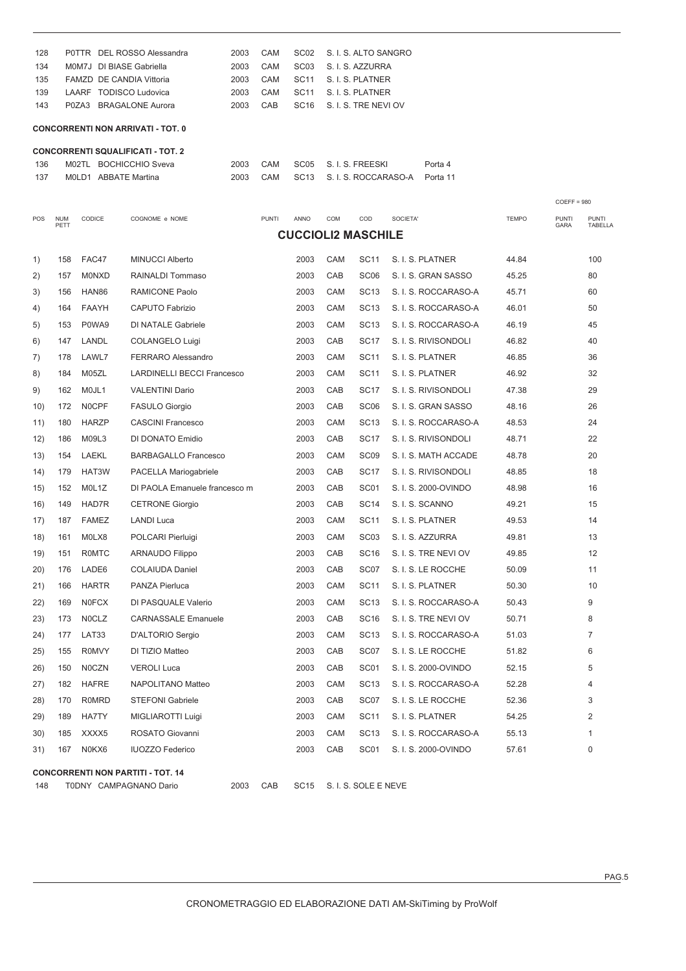| 128 | POTTR DEL ROSSO Alessandra | 2003 | CAM | SC02 S. I. S. ALTO SANGRO |
|-----|----------------------------|------|-----|---------------------------|
| 134 | MOM7J DI BIASE Gabriella   | 2003 | CAM | SC03 S.I.S. AZZURRA       |
| 135 | FAMZD DE CANDIA Vittoria   | 2003 | CAM | SC11 S.I.S. PLATNER       |
| 139 | LAARF TODISCO Ludovica     | 2003 | CAM | SC11 S.I.S. PLATNER       |
| 143 | P0ZA3 BRAGALONE Aurora     | 2003 | CAB | SC16 S. I. S. TRE NEVIOV  |

### **CONCORRENTI NON ARRIVATI - TOT. 0**

|       | <b>CONCORRENTI SQUALIFICATI - TOT. 2</b> |      |     |                                    |         |
|-------|------------------------------------------|------|-----|------------------------------------|---------|
| 136   | M02TL BOCHICCHIO Sveva                   | 2003 | CAM | SC05 S.I.S. FREESKI                | Porta 4 |
| - 137 | MOLD1 ABBATE Martina                     |      | CAM | SC13 S. I. S. ROCCARASO-A Porta 11 |         |

| POS  | <b>NUM</b><br>PETT | CODICE       | COGNOME e NOME                           | <b>PUNTI</b> | ANNO                      | COM        | COD                  | SOCIETA'             | <b>TEMPO</b> | <b>PUNTI</b><br>GARA | <b>PUNTI</b><br>TABELLA |
|------|--------------------|--------------|------------------------------------------|--------------|---------------------------|------------|----------------------|----------------------|--------------|----------------------|-------------------------|
|      |                    |              |                                          |              | <b>CUCCIOLI2 MASCHILE</b> |            |                      |                      |              |                      |                         |
| 1)   | 158                | FAC47        | <b>MINUCCI Alberto</b>                   |              | 2003                      | CAM        | <b>SC11</b>          | S. I. S. PLATNER     | 44.84        |                      | 100                     |
| 2)   | 157                | <b>MONXD</b> | <b>RAINALDI Tommaso</b>                  |              | 2003                      | CAB        | SC <sub>06</sub>     | S. I. S. GRAN SASSO  | 45.25        |                      | 80                      |
| 3)   | 156                | HAN86        | RAMICONE Paolo                           |              | 2003                      | CAM        | <b>SC13</b>          | S. I. S. ROCCARASO-A | 45.71        |                      | 60                      |
| 4)   | 164                | <b>FAAYH</b> | <b>CAPUTO Fabrizio</b>                   |              | 2003                      | <b>CAM</b> | <b>SC13</b>          | S. I. S. ROCCARASO-A | 46.01        |                      | 50                      |
| 5)   | 153                | P0WA9        | <b>DI NATALE Gabriele</b>                |              | 2003                      | CAM        | <b>SC13</b>          | S. I. S. ROCCARASO-A | 46.19        |                      | 45                      |
| 6)   | 147                | LANDL        | COLANGELO Luigi                          |              | 2003                      | CAB        | <b>SC17</b>          | S. I. S. RIVISONDOLI | 46.82        |                      | 40                      |
| 7)   | 178                | LAWL7        | <b>FERRARO Alessandro</b>                |              | 2003                      | CAM        | <b>SC11</b>          | S. I. S. PLATNER     | 46.85        |                      | 36                      |
| 8)   | 184                | M05ZL        | <b>LARDINELLI BECCI Francesco</b>        |              | 2003                      | CAM        | <b>SC11</b>          | S. I. S. PLATNER     | 46.92        |                      | 32                      |
| 9)   | 162                | MOJL1        | <b>VALENTINI Dario</b>                   |              | 2003                      | CAB        | <b>SC17</b>          | S. I. S. RIVISONDOLI | 47.38        |                      | 29                      |
| 10)  | 172                | N0CPF        | <b>FASULO Giorgio</b>                    |              | 2003                      | CAB        | SC <sub>06</sub>     | S. I. S. GRAN SASSO  | 48.16        |                      | 26                      |
| 11)  | 180                | <b>HARZP</b> | <b>CASCINI Francesco</b>                 |              | 2003                      | CAM        | <b>SC13</b>          | S. I. S. ROCCARASO-A | 48.53        |                      | 24                      |
| 12)  | 186                | M09L3        | DI DONATO Emidio                         |              | 2003                      | CAB        | <b>SC17</b>          | S. I. S. RIVISONDOLI | 48.71        |                      | 22                      |
| 13)  | 154                | <b>LAEKL</b> | <b>BARBAGALLO Francesco</b>              |              | 2003                      | CAM        | SC <sub>09</sub>     | S. I. S. MATH ACCADE | 48.78        |                      | 20                      |
| (14) | 179                | HAT3W        | PACELLA Mariogabriele                    |              | 2003                      | CAB        | <b>SC17</b>          | S. I. S. RIVISONDOLI | 48.85        |                      | 18                      |
| 15)  | 152                | MOL1Z        | DI PAOLA Emanuele francesco m            |              | 2003                      | CAB        | SC <sub>01</sub>     | S. I. S. 2000-OVINDO | 48.98        |                      | 16                      |
| 16)  | 149                | HAD7R        | <b>CETRONE Giorgio</b>                   |              | 2003                      | CAB        | <b>SC14</b>          | S. I. S. SCANNO      | 49.21        |                      | 15                      |
| 17)  | 187                | <b>FAMEZ</b> | <b>LANDI Luca</b>                        |              | 2003                      | CAM        | <b>SC11</b>          | S. I. S. PLATNER     | 49.53        |                      | 14                      |
| 18)  | 161                | M0LX8        | POLCARI Pierluigi                        |              | 2003                      | CAM        | SC <sub>03</sub>     | S. I. S. AZZURRA     | 49.81        |                      | 13                      |
| 19)  | 151                | <b>ROMTC</b> | <b>ARNAUDO Filippo</b>                   |              | 2003                      | CAB        | <b>SC16</b>          | S. I. S. TRE NEVI OV | 49.85        |                      | 12                      |
| 20)  | 176                | LADE6        | <b>COLAIUDA Daniel</b>                   |              | 2003                      | CAB        | SC07                 | S. I. S. LE ROCCHE   | 50.09        |                      | 11                      |
| 21)  | 166                | <b>HARTR</b> | PANZA Pierluca                           |              | 2003                      | CAM        | <b>SC11</b>          | S. I. S. PLATNER     | 50.30        |                      | 10                      |
| 22)  | 169                | <b>NOFCX</b> | DI PASQUALE Valerio                      |              | 2003                      | CAM        | <b>SC13</b>          | S. I. S. ROCCARASO-A | 50.43        |                      | 9                       |
| 23)  | 173                | N0CLZ        | <b>CARNASSALE Emanuele</b>               |              | 2003                      | CAB        | <b>SC16</b>          | S. I. S. TRE NEVI OV | 50.71        |                      | 8                       |
| 24)  | 177                | LAT33        | D'ALTORIO Sergio                         |              | 2003                      | CAM        | <b>SC13</b>          | S. I. S. ROCCARASO-A | 51.03        |                      | $\overline{7}$          |
| 25)  | 155                | <b>R0MVY</b> | DI TIZIO Matteo                          |              | 2003                      | CAB        | SC07                 | S. I. S. LE ROCCHE   | 51.82        |                      | 6                       |
| 26)  | 150                | N0CZN        | <b>VEROLI Luca</b>                       |              | 2003                      | CAB        | SC <sub>01</sub>     | S. I. S. 2000-OVINDO | 52.15        |                      | 5                       |
| 27)  | 182                | <b>HAFRE</b> | NAPOLITANO Matteo                        |              | 2003                      | CAM        | <b>SC13</b>          | S. I. S. ROCCARASO-A | 52.28        |                      | 4                       |
| 28)  | 170                | <b>R0MRD</b> | <b>STEFONI Gabriele</b>                  |              | 2003                      | CAB        | SC07                 | S. I. S. LE ROCCHE   | 52.36        |                      | 3                       |
| 29)  | 189                | <b>HA7TY</b> | MIGLIAROTTI Luigi                        |              | 2003                      | CAM        | <b>SC11</b>          | S. I. S. PLATNER     | 54.25        |                      | $\overline{2}$          |
| 30)  | 185                | XXXX5        | ROSATO Giovanni                          |              | 2003                      | CAM        | <b>SC13</b>          | S. I. S. ROCCARASO-A | 55.13        |                      | $\mathbf{1}$            |
| 31)  | 167                | N0KX6        | <b>IUOZZO Federico</b>                   |              | 2003                      | CAB        | SC <sub>01</sub>     | S. I. S. 2000-OVINDO | 57.61        |                      | $\overline{0}$          |
|      |                    |              | <b>CONCORRENTI NON PARTITI - TOT. 14</b> |              |                           |            |                      |                      |              |                      |                         |
| 148  |                    |              | 2003<br>T0DNY CAMPAGNANO Dario           | CAB          | <b>SC15</b>               |            | S. I. S. SOLE E NEVE |                      |              |                      |                         |

COEFF = 980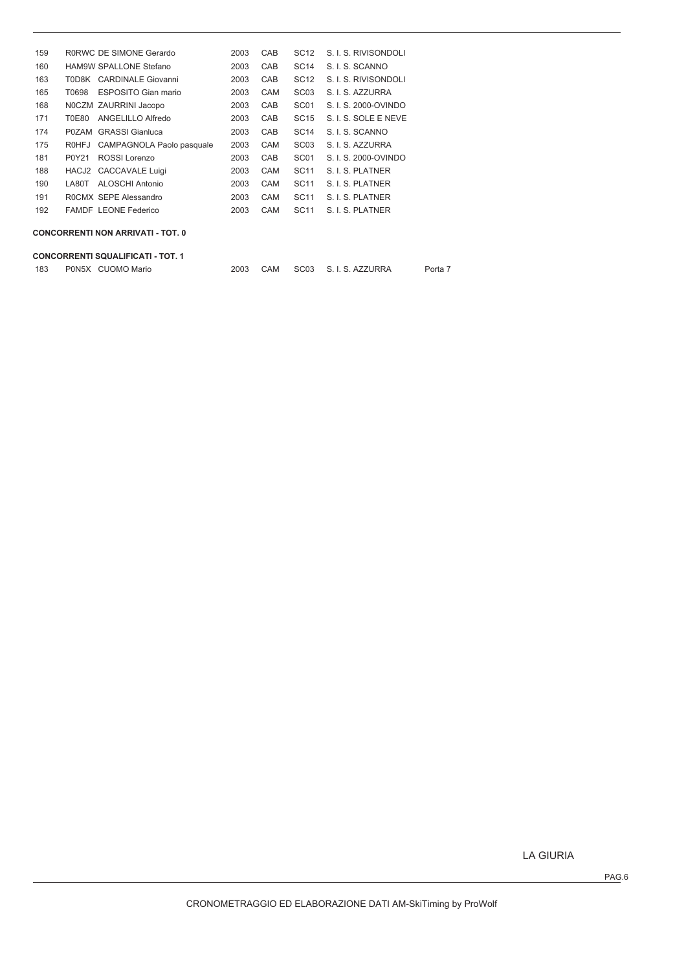| 159 |              | RORWC DE SIMONE Gerardo                  | 2003 | CAB        | <b>SC12</b>      | S. I. S. RIVISONDOLI |
|-----|--------------|------------------------------------------|------|------------|------------------|----------------------|
| 160 |              | <b>HAM9W SPALLONE Stefano</b>            | 2003 | CAB        | <b>SC14</b>      | S. I. S. SCANNO      |
| 163 |              | T0D8K CARDINALE Giovanni                 | 2003 | CAB        | <b>SC12</b>      | S. I. S. RIVISONDOLI |
| 165 | T0698        | <b>ESPOSITO Gian mario</b>               | 2003 | CAM        | SC <sub>03</sub> | S. I. S. AZZURRA     |
| 168 |              | NOCZM ZAURRINI Jacopo                    | 2003 | CAB        | SC <sub>01</sub> | S. I. S. 2000-OVINDO |
| 171 | T0E80        | ANGELILLO Alfredo                        | 2003 | CAB        | <b>SC15</b>      | S. I. S. SOLE E NEVE |
| 174 |              | P0ZAM GRASSI Gianluca                    | 2003 | CAB        | <b>SC14</b>      | S. I. S. SCANNO      |
| 175 | <b>R0HFJ</b> | CAMPAGNOLA Paolo pasquale                | 2003 | <b>CAM</b> | SC <sub>03</sub> | S. I. S. AZZURRA     |
| 181 | P0Y21        | ROSSI Lorenzo                            | 2003 | CAB        | SC <sub>01</sub> | S. I. S. 2000-OVINDO |
| 188 |              | HACJ2 CACCAVALE Luigi                    | 2003 | <b>CAM</b> | SC <sub>11</sub> | S. I. S. PLATNER     |
| 190 | LA80T        | ALOSCHI Antonio                          | 2003 | CAM        | SC <sub>11</sub> | S. I. S. PLATNER     |
| 191 |              | ROCMX SEPE Alessandro                    | 2003 | CAM        | <b>SC11</b>      | S. I. S. PLATNER     |
| 192 |              | <b>FAMDE LEONE Federico</b>              | 2003 | CAM        | SC <sub>11</sub> | S. I. S. PLATNER     |
|     |              | <b>CONCORRENTI NON ARRIVATI - TOT. 0</b> |      |            |                  |                      |

#### **CONCORRENTI SQUALIFICATI - TOT. 1**

| 183 |  | P0N5X CUOMO Mario |  |  |  | 2003 CAM SC03 S.I.S. AZZURRA | Porta 7 |
|-----|--|-------------------|--|--|--|------------------------------|---------|
|-----|--|-------------------|--|--|--|------------------------------|---------|

LA GIURIA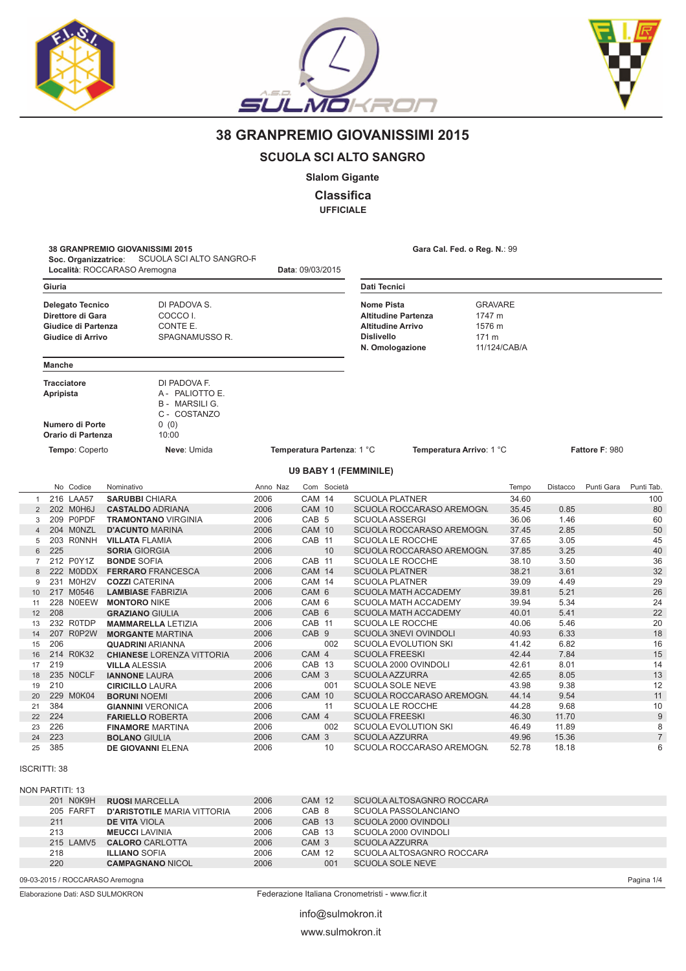





Pagina 1/4

# 38 GRANPREMIO GIOVANISSIMI 2015

### **SCUOLA SCI ALTO SANGRO**

**Slalom Gigante** 

**Classifica** 

**UFFICIALE** 

Data: 09/03/2015

38 GRANPREMIO GIOVANISSIMI 2015<br>Soc. Organizzatrice: SCUOLA SCI ALTO SANGRO-R Località: ROCCARASO Aremogna

Gara Cal. Fed. o Reg. N.: 99

|                | Giuria                          |                                                                                          |                                                                                           |              |                                      |                            | Dati Tecnici                                                                                                                 |                                                    |              |                |                |
|----------------|---------------------------------|------------------------------------------------------------------------------------------|-------------------------------------------------------------------------------------------|--------------|--------------------------------------|----------------------------|------------------------------------------------------------------------------------------------------------------------------|----------------------------------------------------|--------------|----------------|----------------|
|                |                                 |                                                                                          |                                                                                           |              |                                      |                            |                                                                                                                              |                                                    |              |                |                |
|                |                                 | <b>Delegato Tecnico</b><br>Direttore di Gara<br>Giudice di Partenza<br>Giudice di Arrivo | DI PADOVA S.<br>COCCO I.<br>CONTE E.<br>SPAGNAMUSSO R.                                    |              |                                      |                            | <b>Nome Pista</b><br><b>Altitudine Partenza</b><br><b>Altitudine Arrivo</b><br><b>Dislivello</b><br>171 m<br>N. Omologazione | <b>GRAVARE</b><br>1747 m<br>1576 m<br>11/124/CAB/A |              |                |                |
|                | <b>Manche</b>                   |                                                                                          |                                                                                           |              |                                      |                            |                                                                                                                              |                                                    |              |                |                |
|                | <b>Tracciatore</b><br>Apripista | Numero di Porte<br>Orario di Partenza                                                    | DI PADOVA F.<br>A - PALIOTTO E.<br><b>B - MARSILI G.</b><br>C - COSTANZO<br>0(0)<br>10:00 |              |                                      |                            |                                                                                                                              |                                                    |              |                |                |
|                |                                 | Tempo: Coperto                                                                           | Neve: Umida                                                                               |              |                                      | Temperatura Partenza: 1 °C | Temperatura Arrivo: 1 °C                                                                                                     |                                                    |              | Fattore F: 980 |                |
|                |                                 |                                                                                          |                                                                                           |              |                                      |                            | <b>U9 BABY 1 (FEMMINILE)</b>                                                                                                 |                                                    |              |                |                |
|                |                                 | No Codice                                                                                | Nominativo                                                                                | Anno Naz     |                                      | Com Società                |                                                                                                                              | Tempo                                              | Distacco     | Punti Gara     | Punti Tab.     |
| $\mathbf{1}$   |                                 | 216 LAA57                                                                                | <b>SARUBBI CHIARA</b>                                                                     | 2006         | CAM 14                               |                            | <b>SCUOLA PLATNER</b>                                                                                                        | 34.60                                              |              |                | 100            |
| $\overline{2}$ |                                 | 202 M0H6J                                                                                | <b>CASTALDO ADRIANA</b>                                                                   | 2006         | <b>CAM 10</b>                        |                            | SCUOLA ROCCARASO AREMOGN.                                                                                                    | 35.45                                              | 0.85         |                | 80             |
| 3              |                                 | 209 P0PDF                                                                                | <b>TRAMONTANO VIRGINIA</b>                                                                | 2006         | CAB <sub>5</sub>                     |                            | <b>SCUOLA ASSERGI</b>                                                                                                        | 36.06                                              | 1.46         |                | 60             |
| $\overline{4}$ |                                 | 204 MONZL                                                                                | <b>D'ACUNTO MARINA</b>                                                                    | 2006         | <b>CAM 10</b>                        |                            | SCUOLA ROCCARASO AREMOGN.                                                                                                    | 37.45                                              | 2.85         |                | 50             |
| 5              |                                 | 203 RONNH                                                                                | <b>VILLATA FLAMIA</b>                                                                     | 2006         | CAB 11                               |                            | SCUOLA LE ROCCHE                                                                                                             | 37.65                                              | 3.05         |                | 45             |
| 6              | 225                             |                                                                                          | <b>SORIA GIORGIA</b>                                                                      | 2006         |                                      | 10                         | SCUOLA ROCCARASO AREMOGN.                                                                                                    | 37.85                                              | 3.25         |                | 40             |
| $\overline{7}$ |                                 | 212 P0Y1Z                                                                                | <b>BONDE SOFIA</b>                                                                        | 2006         | CAB 11                               |                            | <b>SCUOLA LE ROCCHE</b>                                                                                                      | 38.10                                              | 3.50         |                | 36             |
| 8              |                                 | 222 MODDX                                                                                | <b>FERRARO FRANCESCA</b>                                                                  | 2006         | <b>CAM 14</b>                        |                            | <b>SCUOLA PLATNER</b>                                                                                                        | 38.21                                              | 3.61         |                | 32             |
| 9              |                                 | 231 M0H2V                                                                                | <b>COZZI CATERINA</b>                                                                     | 2006         | CAM 14                               |                            | <b>SCUOLA PLATNER</b>                                                                                                        | 39.09                                              | 4.49         |                | 29             |
| 10             |                                 | 217 M0546                                                                                | <b>LAMBIASE FABRIZIA</b>                                                                  | 2006         | CAM 6                                |                            | <b>SCUOLA MATH ACCADEMY</b>                                                                                                  | 39.81                                              | 5.21         |                | 26             |
| 11             | 208                             | 228 NOEEW                                                                                | <b>MONTORO NIKE</b>                                                                       | 2006<br>2006 | CAM <sub>6</sub><br>CAB <sub>6</sub> |                            | <b>SCUOLA MATH ACCADEMY</b>                                                                                                  | 39.94<br>40.01                                     | 5.34<br>5.41 |                | 24<br>22       |
| 12<br>13       |                                 | 232 ROTDP                                                                                | <b>GRAZIANO GIULIA</b><br><b>MAMMARELLA LETIZIA</b>                                       | 2006         | CAB 11                               |                            | <b>SCUOLA MATH ACCADEMY</b><br><b>SCUOLA LE ROCCHE</b>                                                                       | 40.06                                              | 5.46         |                | 20             |
| 14             |                                 | 207 R0P2W                                                                                | <b>MORGANTE MARTINA</b>                                                                   | 2006         | CAB <sub>9</sub>                     |                            | <b>SCUOLA 3NEVI OVINDOLI</b>                                                                                                 | 40.93                                              | 6.33         |                | 18             |
| 15             | 206                             |                                                                                          | <b>QUADRINI ARIANNA</b>                                                                   | 2006         |                                      | 002                        | <b>SCUOLA EVOLUTION SKI</b>                                                                                                  | 41.42                                              | 6.82         |                | 16             |
| 16             |                                 | 214 R0K32                                                                                | <b>CHIANESE LORENZA VITTORIA</b>                                                          | 2006         | CAM 4                                |                            | <b>SCUOLA FREESKI</b>                                                                                                        | 42.44                                              | 7.84         |                | 15             |
| 17             | 219                             |                                                                                          | <b>VILLA ALESSIA</b>                                                                      | 2006         | CAB 13                               |                            | SCUOLA 2000 OVINDOLI                                                                                                         | 42.61                                              | 8.01         |                | 14             |
| 18             |                                 | 235 NOCLF                                                                                | <b>IANNONE LAURA</b>                                                                      | 2006         | CAM <sub>3</sub>                     |                            | <b>SCUOLA AZZURRA</b>                                                                                                        | 42.65                                              | 8.05         |                | 13             |
| 19             | 210                             |                                                                                          | <b>CIRICILLO LAURA</b>                                                                    | 2006         |                                      | 001                        | <b>SCUOLA SOLE NEVE</b>                                                                                                      | 43.98                                              | 9.38         |                | 12             |
| 20             |                                 | 229 M0K04                                                                                | <b>BORUNI NOEMI</b>                                                                       | 2006         | <b>CAM 10</b>                        |                            | SCUOLA ROCCARASO AREMOGN.                                                                                                    | 44.14                                              | 9.54         |                | 11             |
| 21             | 384                             |                                                                                          | <b>GIANNINI VERONICA</b>                                                                  | 2006         |                                      | 11                         | <b>SCUOLA LE ROCCHE</b>                                                                                                      | 44.28                                              | 9.68         |                | 10             |
| 22             | 224                             |                                                                                          | <b>FARIELLO ROBERTA</b>                                                                   | 2006         | CAM 4                                |                            | <b>SCUOLA FREESKI</b>                                                                                                        | 46.30                                              | 11.70        |                | $\overline{9}$ |
| 23             | 226                             |                                                                                          | <b>FINAMORE MARTINA</b>                                                                   | 2006         |                                      | 002                        | <b>SCUOLA EVOLUTION SKI</b>                                                                                                  | 46.49                                              | 11.89        |                | 8              |
| 24             | 223                             |                                                                                          | <b>BOLANO GIULIA</b>                                                                      | 2006         | CAM <sub>3</sub>                     |                            | <b>SCUOLA AZZURRA</b>                                                                                                        | 49.96                                              | 15.36        |                | $\overline{7}$ |
| 25             | 385                             |                                                                                          | <b>DE GIOVANNI ELENA</b>                                                                  | 2006         |                                      | 10                         | SCUOLA ROCCARASO AREMOGN.                                                                                                    | 52.78                                              | 18.18        |                | 6              |

**ISCRITTI: 38** 

| NON PARTITI: 13 |                                    |      |                   |                           |
|-----------------|------------------------------------|------|-------------------|---------------------------|
| 201 NOK9H       | <b>RUOSI MARCELLA</b>              | 2006 | CAM 12            | SCUOLA ALTOSAGNRO ROCCARA |
| 205 FARFT       | <b>D'ARISTOTILE MARIA VITTORIA</b> | 2006 | CAB <sub>8</sub>  | SCUOLA PASSOLANCIANO      |
| 211             | <b>DE VITA VIOLA</b>               | 2006 | CAB <sub>13</sub> | SCUOLA 2000 OVINDOLI      |
| 213             | <b>MEUCCI LAVINIA</b>              | 2006 | CAB 13            | SCUOLA 2000 OVINDOLI      |
| 215 LAMV5       | <b>CALORO</b> CARLOTTA             | 2006 | CAM <sub>3</sub>  | SCUOLA AZZURRA            |
| 218             | <b>ILLIANO SOFIA</b>               | 2006 | CAM 12            | SCUOLA ALTOSAGNRO ROCCARA |
| 220             | <b>CAMPAGNANO NICOL</b>            | 2006 | 001               | SCUOLA SOLE NEVE          |
|                 |                                    |      |                   |                           |

09-03-2015 / ROCCARASO Aremogna

Elaborazione Dati: ASD SULMOKRON

Federazione Italiana Cronometristi - www.ficr.it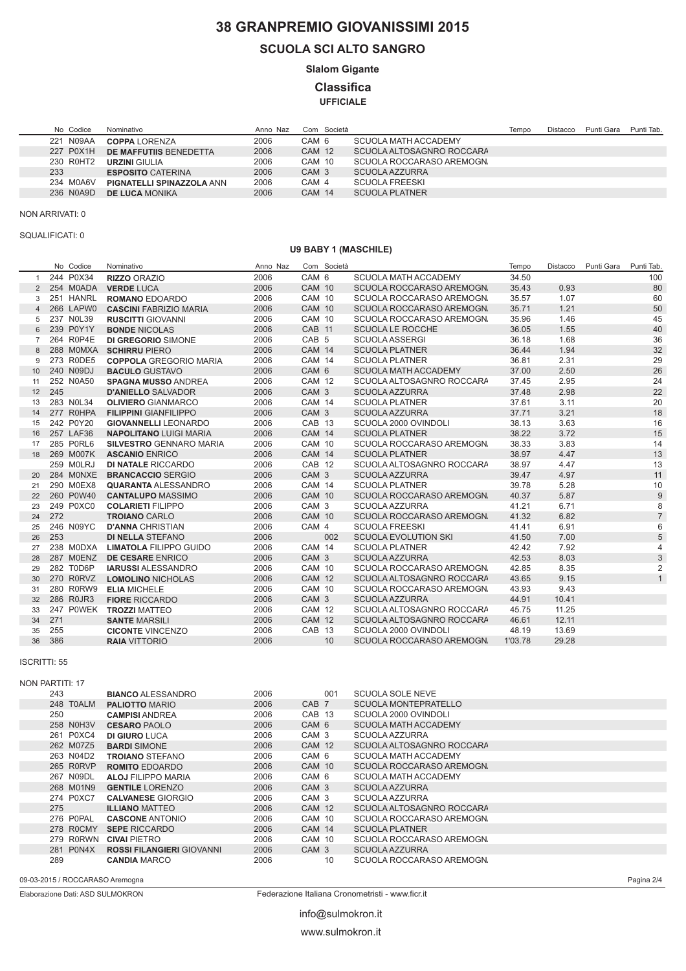# 38 GRANPREMIO GIOVANISSIMI 2015

## **SCUOLA SCI ALTO SANGRO**

**Slalom Gigante** 

**Classifica** 

**UFFICIALE** 

| No Codice | Nominativo                       | Anno Naz | Com Società      |                           | Tempo | Distacco | Punti Gara | Punti Tab. |
|-----------|----------------------------------|----------|------------------|---------------------------|-------|----------|------------|------------|
| 221 N09AA | <b>COPPA LORENZA</b>             | 2006     | CAM 6            | SCUOLA MATH ACCADEMY      |       |          |            |            |
| 227 P0X1H | DE MAFFUTIIS BENEDETTA           | 2006     | CAM 12           | SCUOLA ALTOSAGNRO ROCCARA |       |          |            |            |
| 230 R0HT2 | <b>URZINI GIULIA</b>             | 2006     | CAM 10           | SCUOLA ROCCARASO AREMOGN. |       |          |            |            |
| 233       | <b>ESPOSITO CATERINA</b>         | 2006     | CAM <sub>3</sub> | SCUOLA AZZURRA            |       |          |            |            |
| 234 M0A6V | <b>PIGNATELLI SPINAZZOLA ANN</b> | 2006     | CAM 4            | <b>SCUOLA FREESKI</b>     |       |          |            |            |
| 236 N0A9D | <b>DE LUCA MONIKA</b>            | 2006     | <b>CAM 14</b>    | <b>SCUOLA PLATNER</b>     |       |          |            |            |

NON ARRIVATI: 0

#### SQUALIFICATI: 0

### **U9 BABY 1 (MASCHILE)**

|                | No Codice | Nominativo                     | Anno Naz |                   | Com Società |                             | Tempo   | Distacco | Punti Gara | Punti Tab.     |
|----------------|-----------|--------------------------------|----------|-------------------|-------------|-----------------------------|---------|----------|------------|----------------|
| $\mathbf{1}$   | 244 P0X34 | <b>RIZZO ORAZIO</b>            | 2006     | CAM <sub>6</sub>  |             | <b>SCUOLA MATH ACCADEMY</b> | 34.50   |          |            | 100            |
| $\overline{2}$ | 254 MOADA | <b>VERDE LUCA</b>              | 2006     | <b>CAM 10</b>     |             | SCUOLA ROCCARASO AREMOGN.   | 35.43   | 0.93     |            | 80             |
| 3              | 251 HANRL | <b>ROMANO EDOARDO</b>          | 2006     | <b>CAM 10</b>     |             | SCUOLA ROCCARASO AREMOGN.   | 35.57   | 1.07     |            | 60             |
| $\overline{4}$ | 266 LAPW0 | <b>CASCINI FABRIZIO MARIA</b>  | 2006     | <b>CAM 10</b>     |             | SCUOLA ROCCARASO AREMOGN.   | 35.71   | 1.21     |            | 50             |
| 5              | 237 NOL39 | <b>RUSCITTI GIOVANNI</b>       | 2006     | <b>CAM 10</b>     |             | SCUOLA ROCCARASO AREMOGN.   | 35.96   | 1.46     |            | 45             |
| 6              | 239 P0Y1Y | <b>BONDE NICOLAS</b>           | 2006     | CAB 11            |             | <b>SCUOLA LE ROCCHE</b>     | 36.05   | 1.55     |            | 40             |
| $\overline{7}$ | 264 R0P4E | <b>DI GREGORIO SIMONE</b>      | 2006     | CAB <sub>5</sub>  |             | <b>SCUOLA ASSERGI</b>       | 36.18   | 1.68     |            | 36             |
| 8              | 288 MOMXA | <b>SCHIRRU PIERO</b>           | 2006     | <b>CAM 14</b>     |             | <b>SCUOLA PLATNER</b>       | 36.44   | 1.94     |            | 32             |
| 9              | 273 R0DE5 | <b>COPPOLA GREGORIO MARIA</b>  | 2006     | CAM 14            |             | <b>SCUOLA PLATNER</b>       | 36.81   | 2.31     |            | 29             |
| 10             | 240 N09DJ | <b>BACULO GUSTAVO</b>          | 2006     | CAM <sub>6</sub>  |             | <b>SCUOLA MATH ACCADEMY</b> | 37.00   | 2.50     |            | 26             |
| 11             | 252 N0A50 | <b>SPAGNA MUSSO ANDREA</b>     | 2006     | <b>CAM 12</b>     |             | SCUOLA ALTOSAGNRO ROCCARA   | 37.45   | 2.95     |            | 24             |
| 12             | 245       | <b>D'ANIELLO SALVADOR</b>      | 2006     | CAM <sub>3</sub>  |             | <b>SCUOLA AZZURRA</b>       | 37.48   | 2.98     |            | 22             |
| 13             | 283 NOL34 | <b>OLIVIERO GIANMARCO</b>      | 2006     | CAM 14            |             | <b>SCUOLA PLATNER</b>       | 37.61   | 3.11     |            | 20             |
| 14             | 277 ROHPA | <b>FILIPPINI GIANFILIPPO</b>   | 2006     | CAM <sub>3</sub>  |             | <b>SCUOLA AZZURRA</b>       | 37.71   | 3.21     |            | 18             |
| 15             | 242 P0Y20 | <b>GIOVANNELLI LEONARDO</b>    | 2006     | CAB <sub>13</sub> |             | SCUOLA 2000 OVINDOLI        | 38.13   | 3.63     |            | 16             |
| 16             | 257 LAF36 | <b>NAPOLITANO LUIGI MARIA</b>  | 2006     | <b>CAM 14</b>     |             | <b>SCUOLA PLATNER</b>       | 38.22   | 3.72     |            | 15             |
| 17             | 285 P0RL6 | <b>SILVESTRO GENNARO MARIA</b> | 2006     | <b>CAM 10</b>     |             | SCUOLA ROCCARASO AREMOGN.   | 38.33   | 3.83     |            | 14             |
| 18             | 269 M007K | <b>ASCANIO ENRICO</b>          | 2006     | <b>CAM 14</b>     |             | <b>SCUOLA PLATNER</b>       | 38.97   | 4.47     |            | 13             |
|                | 259 MOLRJ | <b>DI NATALE RICCARDO</b>      | 2006     | CAB <sub>12</sub> |             | SCUOLA ALTOSAGNRO ROCCARA   | 38.97   | 4.47     |            | 13             |
| 20             | 284 MONXE | <b>BRANCACCIO SERGIO</b>       | 2006     | CAM <sub>3</sub>  |             | <b>SCUOLA AZZURRA</b>       | 39.47   | 4.97     |            | 11             |
| 21             | 290 M0EX8 | <b>QUARANTA ALESSANDRO</b>     | 2006     | <b>CAM 14</b>     |             | <b>SCUOLA PLATNER</b>       | 39.78   | 5.28     |            | 10             |
| 22             | 260 P0W40 | <b>CANTALUPO MASSIMO</b>       | 2006     | <b>CAM 10</b>     |             | SCUOLA ROCCARASO AREMOGN    | 40.37   | 5.87     |            | 9              |
| 23             | 249 P0XC0 | <b>COLARIETI FILIPPO</b>       | 2006     | CAM <sub>3</sub>  |             | <b>SCUOLA AZZURRA</b>       | 41.21   | 6.71     |            | 8              |
| 24             | 272       | <b>TROIANO CARLO</b>           | 2006     | <b>CAM 10</b>     |             | SCUOLA ROCCARASO AREMOGN    | 41.32   | 6.82     |            | $\overline{7}$ |
| 25             | 246 N09YC | <b>D'ANNA CHRISTIAN</b>        | 2006     | CAM 4             |             | <b>SCUOLA FREESKI</b>       | 41.41   | 6.91     |            | 6              |
| 26             | 253       | <b>DI NELLA STEFANO</b>        | 2006     |                   | 002         | <b>SCUOLA EVOLUTION SKI</b> | 41.50   | 7.00     |            | 5              |
| 27             | 238 MODXA | <b>LIMATOLA FILIPPO GUIDO</b>  | 2006     | CAM 14            |             | <b>SCUOLA PLATNER</b>       | 42.42   | 7.92     |            | 4              |
| 28             | 287 MOENZ | DE CESARE ENRICO               | 2006     | CAM <sub>3</sub>  |             | SCUOLA AZZURRA              | 42.53   | 8.03     |            | 3              |
| 29             | 282 T0D6P | <b>IARUSSI ALESSANDRO</b>      | 2006     | CAM 10            |             | SCUOLA ROCCARASO AREMOGN.   | 42.85   | 8.35     |            | $\overline{2}$ |
| 30             | 270 R0RVZ | <b>LOMOLINO NICHOLAS</b>       | 2006     | <b>CAM 12</b>     |             | SCUOLA ALTOSAGNRO ROCCARA   | 43.65   | 9.15     |            | $\mathbf{1}$   |
| 31             | 280 R0RW9 | <b>ELIA MICHELE</b>            | 2006     | CAM 10            |             | SCUOLA ROCCARASO AREMOGN.   | 43.93   | 9.43     |            |                |
| 32             | 286 R0JR3 | <b>FIORE RICCARDO</b>          | 2006     | CAM <sub>3</sub>  |             | <b>SCUOLA AZZURRA</b>       | 44.91   | 10.41    |            |                |
| 33             | 247 POWEK | <b>TROZZI MATTEO</b>           | 2006     | CAM 12            |             | SCUOLA ALTOSAGNRO ROCCARA   | 45.75   | 11.25    |            |                |
| 34             | 271       | <b>SANTE MARSILI</b>           | 2006     | <b>CAM 12</b>     |             | SCUOLA ALTOSAGNRO ROCCARA   | 46.61   | 12.11    |            |                |
| 35             | 255       | <b>CICONTE VINCENZO</b>        | 2006     | CAB <sub>13</sub> |             | SCUOLA 2000 OVINDOLI        | 48.19   | 13.69    |            |                |
| 36             | 386       | <b>RAIA VITTORIO</b>           | 2006     |                   | 10          | SCUOLA ROCCARASO AREMOGN.   | 1'03.78 | 29.28    |            |                |
|                |           |                                |          |                   |             |                             |         |          |            |                |

#### **ISCRITTI: 55**

| NON PARTITI: 17 |                                  |      |                  |                             |  |  |  |  |  |  |
|-----------------|----------------------------------|------|------------------|-----------------------------|--|--|--|--|--|--|
| 243             | <b>BIANCO ALESSANDRO</b>         | 2006 | 001              | <b>SCUOLA SOLE NEVE</b>     |  |  |  |  |  |  |
| 248 T0ALM       | <b>PALIOTTO MARIO</b>            | 2006 | CAB <sub>7</sub> | <b>SCUOLA MONTEPRATELLO</b> |  |  |  |  |  |  |
| 250             | <b>CAMPISI ANDREA</b>            | 2006 | CAB 13           | SCUOLA 2000 OVINDOLI        |  |  |  |  |  |  |
| 258 N0H3V       | <b>CESARO PAOLO</b>              | 2006 | CAM <sub>6</sub> | <b>SCUOLA MATH ACCADEMY</b> |  |  |  |  |  |  |
| 261 P0XC4       | <b>DI GIURO LUCA</b>             | 2006 | CAM <sub>3</sub> | SCUOLA AZZURRA              |  |  |  |  |  |  |
| 262 M07Z5       | <b>BARDI SIMONE</b>              | 2006 | <b>CAM 12</b>    | SCUOLA ALTOSAGNRO ROCCARA   |  |  |  |  |  |  |
| 263 N04D2       | <b>TROIANO STEFANO</b>           | 2006 | CAM 6            | SCUOLA MATH ACCADEMY        |  |  |  |  |  |  |
| 265 R0RVP       | <b>ROMITO EDOARDO</b>            | 2006 | CAM 10           | SCUOLA ROCCARASO AREMOGN.   |  |  |  |  |  |  |
| 267 N09DL       | <b>ALOJ FILIPPO MARIA</b>        | 2006 | CAM 6            | SCUOLA MATH ACCADEMY        |  |  |  |  |  |  |
| 268 M01N9       | <b>GENTILE LORENZO</b>           | 2006 | CAM <sub>3</sub> | SCUOLA AZZURRA              |  |  |  |  |  |  |
| 274 P0XC7       | <b>CALVANESE GIORGIO</b>         | 2006 | CAM <sub>3</sub> | SCUOLA AZZURRA              |  |  |  |  |  |  |
| 275             | <b>ILLIANO MATTEO</b>            | 2006 | <b>CAM 12</b>    | SCUOLA ALTOSAGNRO ROCCARA   |  |  |  |  |  |  |
| 276 P0PAL       | <b>CASCONE ANTONIO</b>           | 2006 | CAM 10           | SCUOLA ROCCARASO AREMOGN.   |  |  |  |  |  |  |
| 278 ROCMY       | <b>SEPE RICCARDO</b>             | 2006 | <b>CAM 14</b>    | <b>SCUOLA PLATNER</b>       |  |  |  |  |  |  |
| 279 RORWN       | <b>CIVAI PIETRO</b>              | 2006 | CAM 10           | SCUOLA ROCCARASO AREMOGN.   |  |  |  |  |  |  |
| 281 P0N4X       | <b>ROSSI FILANGIERI</b> GIOVANNI | 2006 | CAM <sub>3</sub> | <b>SCUOLA AZZURRA</b>       |  |  |  |  |  |  |
| 289             | <b>CANDIA MARCO</b>              | 2006 | 10               | SCUOLA ROCCARASO AREMOGN.   |  |  |  |  |  |  |

09-03-2015 / ROCCARASO Aremogna

Elaborazione Dati: ASD SULMOKRON

Federazione Italiana Cronometristi - www.ficr.it

Pagina 2/4

info@sulmokron.it www.sulmokron.it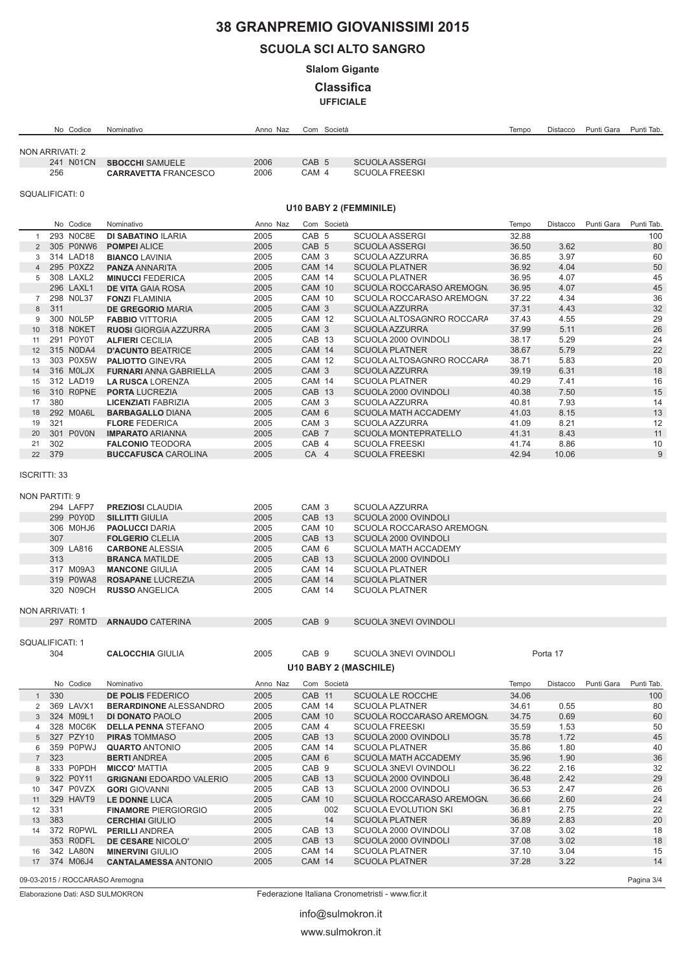# 38 GRANPREMIO GIOVANISSIMI 2015

## **SCUOLA SCI ALTO SANGRO**

**Slalom Gigante** 

**Classifica** 

**UFFICIALE** 

|                       |        | No Codice    | Nominativo                                        | Anno Naz     |                                | Com Società |                                                | Tempo | Distacco | Punti Gara | Punti Tab. |
|-----------------------|--------|--------------|---------------------------------------------------|--------------|--------------------------------|-------------|------------------------------------------------|-------|----------|------------|------------|
|                       |        |              |                                                   |              |                                |             |                                                |       |          |            |            |
| NON ARRIVATI: 2       |        |              |                                                   |              |                                |             |                                                |       |          |            |            |
|                       |        | 241 N01CN    | <b>SBOCCHI SAMUELE</b>                            | 2006         | CAB <sub>5</sub>               |             | <b>SCUOLA ASSERGI</b>                          |       |          |            |            |
|                       | 256    |              | <b>CARRAVETTA FRANCESCO</b>                       | 2006         | CAM 4                          |             | <b>SCUOLA FREESKI</b>                          |       |          |            |            |
|                       |        |              |                                                   |              |                                |             |                                                |       |          |            |            |
| SQUALIFICATI: 0       |        |              |                                                   |              |                                |             |                                                |       |          |            |            |
|                       |        |              |                                                   |              |                                |             | U10 BABY 2 (FEMMINILE)                         |       |          |            |            |
|                       |        | No Codice    | Nominativo                                        | Anno Naz     |                                | Com Società |                                                | Tempo | Distacco | Punti Gara | Punti Tab. |
| $\mathbf{1}$          |        | 293 N0C8E    | <b>DI SABATINO ILARIA</b>                         | 2005         | CAB <sub>5</sub>               |             | <b>SCUOLA ASSERGI</b>                          | 32.88 |          |            | 100        |
| $\overline{2}$        |        | 305 P0NW6    | <b>POMPEI ALICE</b>                               | 2005         | CAB <sub>5</sub>               |             | <b>SCUOLA ASSERGI</b>                          | 36.50 | 3.62     |            | 80         |
| 3                     |        | 314 LAD18    | <b>BIANCO LAVINIA</b>                             | 2005         | CAM <sub>3</sub>               |             | SCUOLA AZZURRA                                 | 36.85 | 3.97     |            | 60         |
| $\overline{4}$        |        | 295 P0XZ2    | <b>PANZA ANNARITA</b>                             | 2005         | <b>CAM 14</b>                  |             | <b>SCUOLA PLATNER</b>                          | 36.92 | 4.04     |            | 50         |
|                       |        | 5 308 LAXL2  | <b>MINUCCI FEDERICA</b>                           | 2005         | <b>CAM 14</b>                  |             | <b>SCUOLA PLATNER</b>                          | 36.95 | 4.07     |            | 45         |
|                       |        | 296 LAXL1    | <b>DE VITA GAIA ROSA</b>                          | 2005         | <b>CAM 10</b>                  |             | SCUOLA ROCCARASO AREMOGN.                      | 36.95 | 4.07     |            | 45         |
| $7^{\circ}$           |        | 298 NOL37    | <b>FONZI FLAMINIA</b>                             | 2005         | <b>CAM 10</b>                  |             | SCUOLA ROCCARASO AREMOGN.                      | 37.22 | 4.34     |            | 36         |
| 8                     | 311    |              | DE GREGORIO MARIA                                 | 2005         | CAM 3                          |             | <b>SCUOLA AZZURRA</b>                          | 37.31 | 4.43     |            | 32         |
| 9                     |        | 300 NOL5P    | <b>FABBIO VITTORIA</b>                            | 2005         | <b>CAM 12</b>                  |             | SCUOLA ALTOSAGNRO ROCCARA                      | 37.43 | 4.55     |            | 29         |
| 10                    |        | 318 NOKET    | <b>RUOSI</b> GIORGIA AZZURRA                      | 2005         | CAM <sub>3</sub>               |             | <b>SCUOLA AZZURRA</b>                          | 37.99 | 5.11     |            | 26         |
| 11                    |        | 291 P0Y0T    | <b>ALFIERI CECILIA</b>                            | 2005         | CAB 13                         |             | SCUOLA 2000 OVINDOLI                           | 38.17 | 5.29     |            | 24         |
| 12                    |        | 315 N0DA4    | <b>D'ACUNTO BEATRICE</b>                          | 2005         | <b>CAM 14</b>                  |             | <b>SCUOLA PLATNER</b>                          | 38.67 | 5.79     |            | 22         |
| 13                    |        | 303 P0X5W    | <b>PALIOTTO GINEVRA</b>                           | 2005         | <b>CAM 12</b>                  |             | SCUOLA ALTOSAGNRO ROCCARA                      | 38.71 | 5.83     |            | 20         |
| 14                    |        | 316 MOLJX    | <b>FURNARI ANNA GABRIELLA</b>                     | 2005         | CAM 3                          |             | <b>SCUOLA AZZURRA</b>                          | 39.19 | 6.31     |            | 18         |
| 15                    |        | 312 LAD19    | <b>LA RUSCA LORENZA</b>                           | 2005         | <b>CAM 14</b>                  |             | <b>SCUOLA PLATNER</b>                          | 40.29 | 7.41     |            | 16         |
| 16                    |        | 310 R0PNE    | <b>PORTA LUCREZIA</b>                             | 2005         | CAB 13                         |             | SCUOLA 2000 OVINDOLI                           | 40.38 | 7.50     |            | 15         |
| 17                    | 380    |              | <b>LICENZIATI FABRIZIA</b>                        | 2005         | CAM <sub>3</sub>               |             | SCUOLA AZZURRA                                 | 40.81 | 7.93     |            | 14         |
| 18                    |        | 292 M0A6L    | <b>BARBAGALLO DIANA</b>                           | 2005         | CAM <sub>6</sub>               |             | <b>SCUOLA MATH ACCADEMY</b>                    | 41.03 | 8.15     |            | 13         |
| 19                    | 321    |              | <b>FLORE FEDERICA</b>                             | 2005         | CAM <sub>3</sub>               |             | SCUOLA AZZURRA                                 | 41.09 | 8.21     |            | 12         |
| 20                    |        | 301 P0V0N    | <b>IMPARATO ARIANNA</b>                           | 2005         | CAB <sub>7</sub>               |             | <b>SCUOLA MONTEPRATELLO</b>                    | 41.31 | 8.43     |            | 11         |
| 21                    | 302    |              | <b>FALCONIO TEODORA</b>                           | 2005         | CAB 4                          |             | <b>SCUOLA FREESKI</b>                          | 41.74 | 8.86     |            | 10         |
|                       | 22 379 |              | <b>BUCCAFUSCA CAROLINA</b>                        | 2005         | CA 4                           |             | <b>SCUOLA FREESKI</b>                          | 42.94 | 10.06    |            | 9          |
| <b>ISCRITTI: 33</b>   |        |              |                                                   |              |                                |             |                                                |       |          |            |            |
| <b>NON PARTITI: 9</b> |        |              |                                                   |              |                                |             |                                                |       |          |            |            |
|                       |        | 294 LAFP7    | <b>PREZIOSI CLAUDIA</b>                           | 2005         | CAM <sub>3</sub>               |             | SCUOLA AZZURRA                                 |       |          |            |            |
|                       |        | 299 P0Y0D    | <b>SILLITTI GIULIA</b>                            | 2005         | CAB 13                         |             | SCUOLA 2000 OVINDOLI                           |       |          |            |            |
|                       |        | 306 M0HJ6    | <b>PAOLUCCI DARIA</b>                             | 2005         | <b>CAM 10</b>                  |             | SCUOLA ROCCARASO AREMOGN.                      |       |          |            |            |
|                       | 307    |              | <b>FOLGERIO CLELIA</b>                            | 2005         | CAB 13                         |             | SCUOLA 2000 OVINDOLI                           |       |          |            |            |
|                       |        | 309 LA816    | <b>CARBONE ALESSIA</b>                            | 2005         | CAM 6                          |             | <b>SCUOLA MATH ACCADEMY</b>                    |       |          |            |            |
|                       | 313    | 317 M09A3    | <b>BRANCA MATILDE</b>                             | 2005         | CAB 13                         |             | SCUOLA 2000 OVINDOLI                           |       |          |            |            |
|                       |        | 319 P0WA8    | <b>MANCONE GIULIA</b>                             | 2005<br>2005 | <b>CAM 14</b><br><b>CAM 14</b> |             | <b>SCUOLA PLATNER</b><br><b>SCUOLA PLATNER</b> |       |          |            |            |
|                       |        | 320 N09CH    | <b>ROSAPANE LUCREZIA</b><br><b>RUSSO ANGELICA</b> | 2005         | <b>CAM 14</b>                  |             | <b>SCUOLA PLATNER</b>                          |       |          |            |            |
|                       |        |              |                                                   |              |                                |             |                                                |       |          |            |            |
| NON ARRIVATI: 1       |        |              |                                                   |              |                                |             |                                                |       |          |            |            |
|                       |        |              | 297 ROMTD ARNAUDO CATERINA                        | 2005         | CAB <sub>9</sub>               |             | <b>SCUOLA 3NEVI OVINDOLI</b>                   |       |          |            |            |
|                       |        |              |                                                   |              |                                |             |                                                |       |          |            |            |
| SQUALIFICATI: 1       |        |              |                                                   |              |                                |             |                                                |       |          |            |            |
|                       | 304    |              | <b>CALOCCHIA GIULIA</b>                           | 2005         | CAB <sub>9</sub>               |             | SCUOLA 3NEVI OVINDOLI                          |       | Porta 17 |            |            |
|                       |        |              |                                                   |              |                                |             |                                                |       |          |            |            |
|                       |        |              |                                                   |              |                                |             | <b>U10 BABY 2 (MASCHILE)</b>                   |       |          |            |            |
|                       |        | No Codice    | Nominativo                                        | Anno Naz     |                                | Com Società |                                                | Tempo | Distacco | Punti Gara | Punti Tab. |
| $\mathbf{1}$          | 330    |              | DE POLIS FEDERICO                                 | 2005         | CAB 11                         |             | <b>SCUOLA LE ROCCHE</b>                        | 34.06 |          |            | 100        |
| $\overline{2}$        |        | 369 LAVX1    | <b>BERARDINONE ALESSANDRO</b>                     | 2005         | <b>CAM 14</b>                  |             | <b>SCUOLA PLATNER</b>                          | 34.61 | 0.55     |            | 80         |
| $\mathbf{3}$          |        | 324 M09L1    | <b>DI DONATO PAOLO</b>                            | 2005         | <b>CAM 10</b>                  |             | SCUOLA ROCCARASO AREMOGN.                      | 34.75 | 0.69     |            | 60         |
| 4                     |        | 328 M0C6K    | <b>DELLA PENNA STEFANO</b>                        | 2005         | CAM 4                          |             | <b>SCUOLA FREESKI</b>                          | 35.59 | 1.53     |            | 50         |
| 5                     |        | 327 PZY10    | <b>PIRAS TOMMASO</b>                              | 2005         | CAB 13                         |             | SCUOLA 2000 OVINDOLI                           | 35.78 | 1.72     |            | 45         |
| 6                     |        | 359 P0PWJ    | <b>QUARTO ANTONIO</b>                             | 2005         | <b>CAM 14</b>                  |             | <b>SCUOLA PLATNER</b>                          | 35.86 | 1.80     |            | 40         |
| $7\overline{ }$       | 323    |              | <b>BERTI ANDREA</b>                               | 2005         | CAM 6                          |             | <b>SCUOLA MATH ACCADEMY</b>                    | 35.96 | 1.90     |            | $36\,$     |
| 8                     |        | 333 P0PDH    | <b>MICCO' MATTIA</b>                              | 2005         | CAB <sub>9</sub>               |             | SCUOLA 3NEVI OVINDOLI                          | 36.22 | 2.16     |            | 32         |
| 9                     |        | 322 P0Y11    | <b>GRIGNANI EDOARDO VALERIO</b>                   | 2005         | CAB 13                         |             | SCUOLA 2000 OVINDOLI                           | 36.48 | 2.42     |            | 29         |
| 10                    |        | 347 P0VZX    | <b>GORI GIOVANNI</b>                              | 2005         | CAB 13                         |             | SCUOLA 2000 OVINDOLI                           | 36.53 | 2.47     |            | 26         |
| 11                    |        | 329 HAVT9    | LE DONNE LUCA                                     | 2005         | <b>CAM 10</b>                  |             | SCUOLA ROCCARASO AREMOGN.                      | 36.66 | 2.60     |            | 24         |
| 12                    | 331    |              | <b>FINAMORE PIERGIORGIO</b>                       | 2005         |                                | 002         | <b>SCUOLA EVOLUTION SKI</b>                    | 36.81 | 2.75     |            | 22         |
| 13                    | 383    |              | <b>CERCHIAI GIULIO</b>                            | 2005         |                                | 14          | <b>SCUOLA PLATNER</b>                          | 36.89 | 2.83     |            | 20         |
| 14                    |        | 372 R0PWL    | <b>PERILLI ANDREA</b>                             | 2005         | CAB 13                         |             | SCUOLA 2000 OVINDOLI                           | 37.08 | 3.02     |            | 18         |
|                       |        | 353 RODFL    | DE CESARE NICOLO'                                 | 2005         | CAB 13                         |             | SCUOLA 2000 OVINDOLI                           | 37.08 | 3.02     |            | 18         |
| 16                    |        | 342 LA80N    | <b>MINERVINI GIULIO</b>                           | 2005         | CAM 14                         |             | <b>SCUOLA PLATNER</b>                          | 37.10 | 3.04     |            | 15         |
|                       |        | 17 374 M06J4 | <b>CANTALAMESSA ANTONIO</b>                       | 2005         | <b>CAM 14</b>                  |             | <b>SCUOLA PLATNER</b>                          | 37.28 | 3.22     |            | 14         |
|                       |        |              | 09-03-2015 / ROCCARASO Aremogna                   |              |                                |             |                                                |       |          |            | Pagina 3/4 |
|                       |        |              |                                                   |              |                                |             |                                                |       |          |            |            |

Elaborazione Dati: ASD SULMOKRON

Federazione Italiana Cronometristi - www.ficr.it

info@sulmokron.it

www.sulmokron.it